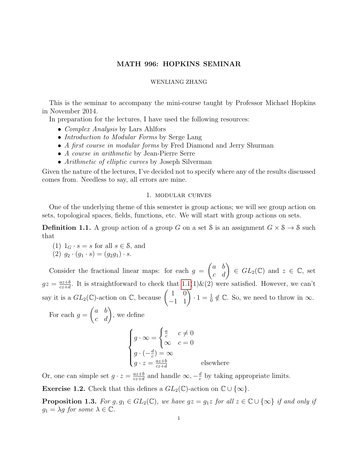# MATH 996: HOPKINS SEMINAR

#### WENLIANG ZHANG

This is the seminar to accompany the mini-course taught by Professor Michael Hopkins in November 2014.

In preparation for the lectures, I have used the following resources:

- *Complex Analysis* by Lars Ahlfors
- Introduction to Modular Forms by Serge Lang
- A first course in modular forms by Fred Diamond and Jerry Shurman
- A course in arithmetic by Jean-Pierre Serre
- Arithmetic of elliptic curves by Joseph Silverman

Given the nature of the lectures, I've decided not to specify where any of the results discussed comes from. Needless to say, all errors are mine.

## 1. modular curves

One of the underlying theme of this semester is group actions; we will see group action on sets, topological spaces, fields, functions, etc. We will start with group actions on sets.

<span id="page-0-0"></span>**Definition 1.1.** A group action of a group G on a set S is an assignment  $G \times S \rightarrow S$  such that

(1)  $1_G \cdot s = s$  for all  $s \in \mathcal{S}$ , and

(2) 
$$
g_2 \cdot (g_1 \cdot s) = (g_2 g_1) \cdot s
$$
.

Consider the fractional linear maps: for each  $g =$  $\begin{pmatrix} a & b \\ c & d \end{pmatrix} \in GL_2(\mathbb{C})$  and  $z \in \mathbb{C}$ , set  $gz = \frac{az+b}{cz+d}$  $\frac{az+b}{cz+d}$ . It is straightforward to check that  $1.1(1)$   $\&$  (2) were satisfied. However, we can't say it is a  $GL_2(\mathbb{C})$ -action on  $\mathbb{C}$ , because  $\begin{pmatrix} 1 & 0 \\ -1 & 1 \end{pmatrix} \cdot 1 = \frac{1}{0} \notin \mathbb{C}$ . So, we need to throw in  $\infty$ .

For each  $g =$  $\begin{pmatrix} a & b \\ c & d \end{pmatrix}$ , we define  $\sqrt{ }$  $\int$  $\overline{\mathcal{L}}$  $g \cdot \infty =$  $\int \underline{a}$  $\frac{a}{c}$   $c \neq 0$  $\infty$   $c = 0$  $g \cdot \left(-\frac{d}{c}\right)$  $(c^d) = \infty$  $g \cdot z = \frac{az+b}{cz+d}$  $\frac{az+b}{cz+d}$  elsewhere

Or, one can simple set  $g \cdot z = \frac{az+b}{cz+d}$  $\frac{az+b}{cz+d}$  and handle  $\infty, -\frac{d}{c}$  $\frac{d}{c}$  by taking appropriate limits.

**Exercise 1.2.** Check that this defines a  $GL_2(\mathbb{C})$ -action on  $\mathbb{C} \cup \{\infty\}$ .

<span id="page-0-1"></span>**Proposition 1.3.** For  $g, g_1 \in GL_2(\mathbb{C})$ , we have  $gz = g_1z$  for all  $z \in \mathbb{C} \cup \{\infty\}$  if and only if  $g_1 = \lambda g$  for some  $\lambda \in \mathbb{C}$ .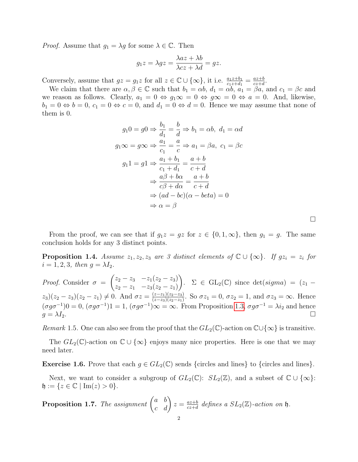*Proof.* Assume that  $g_1 = \lambda g$  for some  $\lambda \in \mathbb{C}$ . Then

$$
g_1 z = \lambda g z = \frac{\lambda a z + \lambda b}{\lambda c z + \lambda d} = g z.
$$

Conversely, assume that  $gz = g_1z$  for all  $z \in \mathbb{C} \cup \{\infty\}$ , it i.e.  $\frac{a_1z+b_1}{c_1z+d_1} = \frac{az+b_1}{cz+d_1}$  $\frac{az+b}{cz+d}$ .

We claim that there are  $\alpha, \beta \in \mathbb{C}$  such that  $b_1 = \alpha b$ ,  $d_1 = \alpha b$ ,  $a_1 = \beta a$ , and  $c_1 = \beta c$  and we reason as follows. Clearly,  $a_1 = 0 \Leftrightarrow g_1 \infty = 0 \Leftrightarrow g \infty = 0 \Leftrightarrow a = 0$ . And, likewise,  $b_1 = 0 \Leftrightarrow b = 0, c_1 = 0 \Leftrightarrow c = 0$ , and  $d_1 = 0 \Leftrightarrow d = 0$ . Hence we may assume that none of them is 0.

$$
g_1 0 = g0 \Rightarrow \frac{b_1}{d_1} = \frac{b}{d} \Rightarrow b_1 = \alpha b, \ d_1 = \alpha d
$$
  

$$
g_1 \infty = g \infty \Rightarrow \frac{a_1}{c_1} = \frac{a}{c} \Rightarrow a_1 = \beta a, \ c_1 = \beta c
$$
  

$$
g_1 1 = g1 \Rightarrow \frac{a_1 + b_1}{c_1 + d_1} = \frac{a+b}{c+d}
$$
  

$$
\Rightarrow \frac{a\beta + b\alpha}{c\beta + d\alpha} = \frac{a+b}{c+d}
$$
  

$$
\Rightarrow (ad - bc)(\alpha - beta) = 0
$$
  

$$
\Rightarrow \alpha = \beta
$$

 $\Box$ 

From the proof, we can see that if  $g_1z = gz$  for  $z \in \{0, 1, \infty\}$ , then  $g_1 = g$ . The same conclusion holds for any 3 distinct points.

**Proposition 1.4.** Assume  $z_1, z_2, z_3$  are 3 distinct elements of  $\mathbb{C} \cup \{\infty\}$ . If  $gz_i = z_i$  for  $i = 1, 2, 3$ , then  $g = \lambda I_2$ .

*Proof.* Consider  $\sigma$  =  $\begin{pmatrix} z_2 - z_3 & -z_1(z_2 - z_3) \end{pmatrix}$  $z_2 - z_1$   $-z_3(z_2 - z_1)$ ).  $\Sigma \in GL_2(\mathbb{C})$  since  $\det(signa) = (z_1 (z_3)(z_2-z_3)(z_2-z_1) \neq 0$ . And  $\sigma z = \frac{(z-z_1)(z_2-z_3)}{(z-z_2)(z_2-z_1)}$  $\frac{(z-z_1)(z_2-z_3)}{(z-z_3)(z_2-z_1)}$ . So  $\sigma z_1 = 0$ ,  $\sigma z_2 = 1$ , and  $\sigma z_3 = \infty$ . Hence  $(\sigma g \sigma^{-1})0 = 0$ ,  $(\sigma g \sigma^{-1})1 = 1$ ,  $(\sigma g \sigma^{-1})\infty = \infty$ . From Proposition [1.3,](#page-0-1)  $\sigma g \sigma^{-1} = \lambda i_2$  and hence  $g = \lambda I_2.$ 

Remark 1.5. One can also see from the proof that the  $GL_2(\mathbb{C})$ -action on  $\mathbb{C}\cup\{\infty\}$  is transitive.

The  $GL_2(\mathbb{C})$ -action on  $\mathbb{C} \cup {\infty}$  enjoys many nice properties. Here is one that we may need later.

<span id="page-1-0"></span>**Exercise 1.6.** Prove that each  $g \in GL_2(\mathbb{C})$  sends {circles and lines} to {circles and lines}.

Next, we want to consider a subgroup of  $GL_2(\mathbb{C})$ :  $SL_2(\mathbb{Z})$ , and a subset of  $\mathbb{C} \cup \{\infty\}$ :  $\mathfrak{h} := \{ z \in \mathbb{C} \mid \text{Im}(z) > 0 \}.$ 

**Proposition 1.7.** The assignment  $\begin{pmatrix} a & b \\ c & d \end{pmatrix} z = \frac{az+b}{cz+d}$  $\frac{az+b}{cz+d}$  defines a  $SL_2(\mathbb{Z})$ -action on  $\mathfrak{h}$ .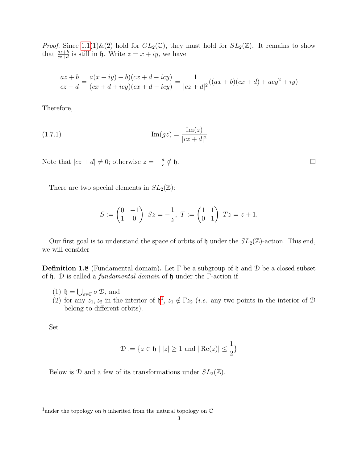*Proof.* Since  $1.1(1)\&(2)$  hold for  $GL_2(\mathbb{C})$ , they must hold for  $SL_2(\mathbb{Z})$ . It remains to show that  $\frac{az+b}{cz+d}$  is still in  $\mathfrak{h}$ . Write  $z = x + iy$ , we have

$$
\frac{az+b}{cz+d} = \frac{a(x+iy)+b)(cx+d-icy)}{(cx+d+icy)(cx+d-icy)} = \frac{1}{|cz+d|^2}((ax+b)(cx+d)+acy^2+iy)
$$

Therefore,

(1.7.1) 
$$
\text{Im}(gz) = \frac{\text{Im}(z)}{|cz+d|^2}
$$

Note that  $|cz+d|\neq 0$ ; otherwise  $z=-\frac{d}{dz}$ c  $\notin$  h.

There are two special elements in  $SL_2(\mathbb{Z})$ :

<span id="page-2-1"></span>
$$
S := \begin{pmatrix} 0 & -1 \\ 1 & 0 \end{pmatrix} \ Sz = -\frac{1}{z}, \ T := \begin{pmatrix} 1 & 1 \\ 0 & 1 \end{pmatrix} \ Tz = z + 1.
$$

Our first goal is to understand the space of orbits of  $\mathfrak h$  under the  $SL_2(\mathbb Z)$ -action. This end, we will consider

**Definition 1.8** (Fundamental domain). Let  $\Gamma$  be a subgroup of h and D be a closed subset of h. D is called a fundamental domain of h under the Γ-action if

- (1)  $\mathfrak{h} = \bigcup_{\sigma \in \Gamma} \sigma \mathcal{D}$ , and
- (2) for any  $z_1, z_2$  $z_1, z_2$  $z_1, z_2$  in the interior of  $\mathfrak{h}^1$ ,  $z_1 \notin \Gamma z_2$  (*i.e.* any two points in the interior of  $\mathfrak D$ belong to different orbits).

Set

$$
\mathcal{D} := \{ z \in \mathfrak{h} \mid |z| \ge 1 \text{ and } |\operatorname{Re}(z)| \le \frac{1}{2} \}
$$

Below is D and a few of its transformations under  $SL_2(\mathbb{Z})$ .

<span id="page-2-0"></span><sup>&</sup>lt;sup>1</sup>under the topology on  $\mathfrak h$  inherited from the natural topology on  $\mathbb C$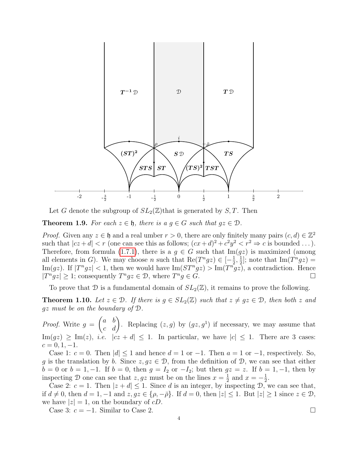

Let G denote the subgroup of  $SL_2(\mathbb{Z})$  that is generated by  $S, T$ . Then

<span id="page-3-0"></span>**Theorem 1.9.** For each  $z \in \mathfrak{h}$ , there is a  $g \in G$  such that  $gz \in \mathfrak{D}$ .

*Proof.* Given any  $z \in \mathfrak{h}$  and a real umber  $r > 0$ , there are only finitely many pairs  $(c, d) \in \mathbb{Z}^2$ such that  $|cz+d| < r$  (one can see this as follows;  $(cx+d)^2 + c^2y^2 < r^2 \Rightarrow c$  is bounded ...). Therefore, from formula [\(1.7.1\)](#page-2-1), there is a  $g \in G$  such that  $\text{Im}(gz)$  is maximized (among all elements in G). We may choose n such that  $\text{Re}(T^n g z) \in [-\frac{1}{2}]$  $\frac{1}{2}, \frac{1}{2}$  $\frac{1}{2}$ ; note that  $\text{Im}(T^n gz) =$ Im(gz). If  $|T^n gz| < 1$ , then we would have Im( $ST^n gz$ )  $> \text{Im}(T^n gz)$ , a contradiction. Hence  $|T^n gz| \geq 1$ ; consequently  $T^n gz \in \mathcal{D}$ , where  $T^n g \in G$ .

To prove that D is a fundamental domain of  $SL_2(\mathbb{Z})$ , it remains to prove the following.

<span id="page-3-1"></span>**Theorem 1.10.** Let  $z \in \mathcal{D}$ . If there is  $g \in SL_2(\mathbb{Z})$  such that  $z \neq gz \in \mathcal{D}$ , then both z and gz must be on the boundary of D.

*Proof.* Write  $g =$  $\begin{pmatrix} a & b \\ c & d \end{pmatrix}$ . Replacing  $(z, g)$  by  $(gz, g<sup>1</sup>)$  if necessary, we may assume that  $\text{Im}(gz) \ge \text{Im}(z), \text{ i.e. } |cz+d| \le 1.$  In particular, we have  $|c| \le 1.$  There are 3 cases:  $c = 0, 1, -1.$ 

Case 1:  $c = 0$ . Then  $|d| \leq 1$  and hence  $d = 1$  or  $-1$ . Then  $a = 1$  or  $-1$ , respectively. So, g is the translation by b. Since  $z, gz \in \mathcal{D}$ , from the definition of  $\mathcal{D}$ , we can see that either  $b = 0$  or  $b = 1, -1$ . If  $b = 0$ , then  $g = I_2$  or  $-I_2$ ; but then  $gz = z$ . If  $b = 1, -1$ , then by inspecting D one can see that  $z, gz$  must be on the lines  $x = \frac{1}{2}$  $\frac{1}{2}$  and  $x = -\frac{1}{2}$  $\frac{1}{2}$ .

Case 2:  $c = 1$ . Then  $|z + d| \leq 1$ . Since d is an integer, by inspecting D, we can see that, if  $d \neq 0$ , then  $d = 1, -1$  and  $z, gz \in \{\rho, -\overline{\rho}\}$ . If  $d = 0$ , then  $|z| \leq 1$ . But  $|z| \geq 1$  since  $z \in \mathcal{D}$ , we have  $|z|=1$ , on the boundary of cD.

Case 3:  $c = -1$ . Similar to Case 2.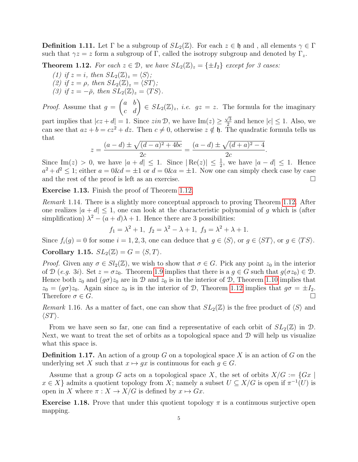**Definition 1.11.** Let  $\Gamma$  be a subgroup of  $SL_2(\mathbb{Z})$ . For each  $z \in \mathfrak{h}$  and, all elements  $\gamma \in \Gamma$ such that  $\gamma z = z$  form a subgroup of Γ, called the isotropy subgroup and denoted by Γ<sub>z</sub>.

<span id="page-4-0"></span>**Theorem 1.12.** For each  $z \in \mathcal{D}$ , we have  $SL_2(\mathbb{Z})_z = \{\pm I_2\}$  except for 3 cases:

(1) if  $z = i$ , then  $SL_2(\mathbb{Z})_z = \langle S \rangle$ ; (2) if  $z = \rho$ , then  $SL_2(\mathbb{Z})_z = \langle ST \rangle$ ;

(3) if  $z = -\bar{\rho}$ , then  $SL_2(\mathbb{Z})_z = \langle TS \rangle$ .

*Proof.* Assume that  $g =$  $\begin{pmatrix} a & b \\ c & d \end{pmatrix} \in SL_2(\mathbb{Z})_z$ , *i.e.*  $gz = z$ . The formula for the imaginary √

part implies that  $|cz+d|=1$ . Since  $\sin \mathcal{D}$ , we have  $\text{Im}(z) \geq \frac{\sqrt{3}}{2}$  $\frac{\sqrt{3}}{2}$  and hence  $|c| \leq 1$ . Also, we can see that  $az + b = cz^2 + dz$ . Then  $c \neq 0$ , otherwise  $z \notin \mathfrak{h}$ . The quadratic formula tells us that

$$
z = \frac{(a-d) \pm \sqrt{(d-a)^2 + 4bc}}{2c} = \frac{(a-d) \pm \sqrt{(d+a)^2 - 4}}{2c}.
$$

Since Im(*z*) > 0, we have  $|a+d| \leq 1$ . Since  $|\text{Re}(z)| \leq \frac{1}{2}$ , we have  $|a-d| \leq 1$ . Hence  $a^2 + d^2 \leq 1$ ; either  $a = 0 \& d = \pm 1$  or  $d = 0 \& a = \pm 1$ . Now one can simply check case by case and the rest of the proof is left as an exercise.

Exercise 1.13. Finish the proof of Theorem [1.12.](#page-4-0)

Remark 1.14. There is a slightly more conceptual approach to proving Theorem [1.12.](#page-4-0) After one realizes  $|a+d| \leq 1$ , one can look at the characteristic polynomial of g which is (after simplification)  $\lambda^2 - (a + d)\lambda + 1$ . Hence there are 3 possibilities:

$$
f_1 = \lambda^2 + 1
$$
,  $f_2 = \lambda^2 - \lambda + 1$ ,  $f_3 = \lambda^2 + \lambda + 1$ .

Since  $f_i(g) = 0$  for some  $i = 1, 2, 3$ , one can deduce that  $g \in \langle S \rangle$ , or  $g \in \langle ST \rangle$ , or  $g \in \langle TS \rangle$ . Corollary 1.15.  $SL_2(\mathbb{Z}) = G = \langle S, T \rangle$ .

*Proof.* Given any  $\sigma \in Sl_2(\mathbb{Z})$ , we wish to show that  $\sigma \in G$ . Pick any point  $z_0$  in the interior of  $\mathcal{D}$  (e.g. 3i). Set  $z = \sigma z_0$ . Theorem [1.9](#page-3-0) implies that there is a  $g \in G$  such that  $g(\sigma z_0) \in \mathcal{D}$ . Hence both  $z_0$  and  $(g\sigma)z_0$  are in D and  $z_0$  is in the interior of D, Theorem [1.10](#page-3-1) implies that  $z_0 = (g\sigma)z_0$ . Again since  $z_0$  is in the interior of D, Theorem [1.12](#page-4-0) implies that  $g\sigma = \pm I_2$ . Therefore  $\sigma \in G$ .

Remark 1.16. As a matter of fact, one can show that  $SL_2(\mathbb{Z})$  is the free product of  $\langle S \rangle$  and  $\langle ST\rangle.$ 

From we have seen so far, one can find a representative of each orbit of  $SL_2(\mathbb{Z})$  in D. Next, we want to treat the set of orbits as a topological space and  $\mathcal D$  will help us visualize what this space is.

**Definition 1.17.** An action of a group G on a topological space X is an action of G on the underlying set X such that  $x \mapsto qx$  is continuous for each  $q \in G$ .

Assume that a group G acts on a topological space X, the set of orbits  $X/G := \{Gx \mid$  $x \in X$  admits a quotient topology from X; namely a subset  $U \subseteq X/G$  is open if  $\pi^{-1}(U)$  is open in X where  $\pi : X \to X/G$  is defined by  $x \mapsto Gx$ .

**Exercise 1.18.** Prove that under this quotient topology  $\pi$  is a continuous surjective open mapping.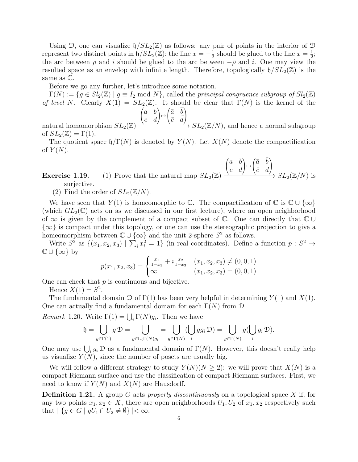Using D, one can visualize  $\mathfrak{h}/SL_2(\mathbb{Z})$  as follows: any pair of points in the interior of D represent two distinct points in  $\mathfrak{h}/SL_2(\mathbb{Z})$ ; the line  $x = -\frac{1}{2}$  $\frac{1}{2}$  should be glued to the line  $x = \frac{1}{2}$  $\frac{1}{2}$ ; the arc between  $\rho$  and i should be glued to the arc between  $-\bar{\rho}$  and i. One may view the resulted space as an envelop with infinite length. Therefore, topologically  $\mathfrak{h}/SL_2(\mathbb{Z})$  is the same as C.

Before we go any further, let's introduce some notation.

 $\Gamma(N) := \{g \in Sl_2(\mathbb{Z}) \mid g \equiv I_2 \text{ mod } N\},\$ called the principal congruence subgroup of  $Sl_2(\mathbb{Z})$ of level N. Clearly  $X(1) = SL_2(\mathbb{Z})$ . It should be clear that  $\Gamma(N)$  is the kernel of the  $\sqrt{ }$ a b  $\setminus$  $\sqrt{ }$  $\bar{a}$   $\bar{b}$  $\setminus$ 

natural homomorphism  $SL_2(\mathbb{Z})$  $\mathcal{L}$ c d 7→  $\mathcal{L}$  $\bar{c}$   $\bar{d}$  $\frac{1}{2}$  $\frac{C-a}{C}$   $\rightarrow$   $SL_2(\mathbb{Z}/N)$ , and hence a normal subgroup of  $SL_2(\mathbb{Z}) = \Gamma(1)$ .

The quotient space  $\mathfrak{h}/\Gamma(N)$  is denoted by  $Y(N)$ . Let  $X(N)$  denote the compactification of  $Y(N)$ .

 $\sqrt{ }$ 

a b

 $\setminus$ 

 $\sqrt{ }$ 

 $\bar{a}$   $\bar{b}$ 

 $\setminus$ 

**Exercise 1.19.** (1) Prove that the natural map  $SL_2(\mathbb{Z})$  $\mathcal{L}$ c d  $\rightarrow$  $\overline{1}$  $\bar{c}$   $\bar{d}$  $\frac{1}{2}$  $\xrightarrow{(c-a)} SL_2(\mathbb{Z}/N)$  is surjective.

(2) Find the order of  $SL_2(\mathbb{Z}/N)$ .

We have seen that  $Y(1)$  is homeomorphic to  $\mathbb C$ . The compactification of  $\mathbb C$  is  $\mathbb C \cup \{\infty\}$ (which  $GL_2(\mathbb{C})$  acts on as we discussed in our first lecture), where an open neighborhood of  $\infty$  is given by the complement of a compact subset of  $\mathbb{C}$ . One can directly that  $\mathbb{C} \cup$  ${\infty}$  is compact under this topology, or one can use the stereographic projection to give a homeomorphism between  $\mathbb{C} \cup {\infty}$  and the unit 2-sphere  $S^2$  as follows.

Write  $S^2$  as  $\{(x_1, x_2, x_3) | \sum_i x_i^2 = 1\}$  (in real coordinates). Define a function  $p : S^2 \to$  $\mathbb{C} \cup \{\infty\}$  by

$$
p(x_1, x_2, x_3) = \begin{cases} \frac{x_1}{1 - x_3} + i \frac{x_2}{1 - x_3} & (x_1, x_2, x_3) \neq (0, 0, 1) \\ \infty & (x_1, x_2, x_3) = (0, 0, 1) \end{cases}
$$

One can check that  $p$  is continuous and bijective.

Hence  $X(1) = S^2$ .

The fundamental domain  $\mathcal D$  of  $\Gamma(1)$  has been very helpful in determining  $Y(1)$  and  $X(1)$ . One can actually find a fundamental domain for each  $\Gamma(N)$  from  $\mathcal D$ .

*Remark* 1.20. Write  $\Gamma(1) = \bigcup_i \Gamma(N)g_i$ . Then we have

$$
\mathfrak{h} = \bigcup_{g \in \Gamma(1)} g \mathcal{D} = \bigcup_{g \in \cup_i \Gamma(N) g_i} = \bigcup_{g \in \Gamma(N)} (\bigcup_i g g_i \mathcal{D}) = \bigcup_{g \in \Gamma(N)} g(\bigcup_i g_i \mathcal{D}).
$$

One may use  $\bigcup_i g_i \mathcal{D}$  as a fundamental domain of  $\Gamma(N)$ . However, this doesn't really help us visualize  $Y(N)$ , since the number of posets are usually big.

We will follow a different strategy to study  $Y(N)(N \geq 2)$ : we will prove that  $X(N)$  is a compact Riemann surface and use the classification of compact Riemann surfaces. First, we need to know if  $Y(N)$  and  $X(N)$  are Hausdorff.

**Definition 1.21.** A group G acts properly discontinuously on a topological space X if, for any two points  $x_1, x_2 \in X$ , there are open neighborhoods  $U_1, U_2$  of  $x_1, x_2$  respectively such that  $| \{ g \in G \mid gU_1 \cap U_2 \neq \emptyset \} | < \infty$ .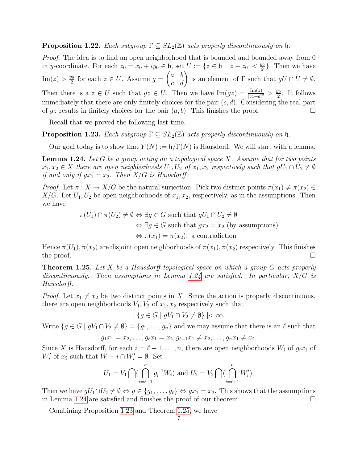**Proposition 1.22.** Each subgroup  $\Gamma \subseteq SL_2(\mathbb{Z})$  acts properly discontinuously on h.

Proof. The idea is to find an open neighborhood that is bounded and bounded away from 0 in y-coordinate. For each  $z_0 = x_0 + iy_0 \in \mathfrak{h}$ , set  $U := \{z \in \mathfrak{h} \mid |z - z_0| < \frac{y_0}{2}\}$  $\frac{\sqrt{0}}{2}$ . Then we have  $\text{Im}(z) > \frac{y_0}{2}$  $\frac{y_0}{2}$  for each  $z \in U$ . Assume  $g =$  $\begin{pmatrix} a & b \\ c & d \end{pmatrix}$  is an element of  $\Gamma$  such that  $gU \cap U \neq \emptyset$ . Then there is a  $z \in U$  such that  $gz \in U$ . Then we have  $\text{Im}(gz) = \frac{\text{Im}(z)}{|cz+d|^2} > \frac{y_0}{2}$  $\frac{\pi}{2}$ . It follows immediately that there are only finitely choices for the pair  $(c, d)$ . Considering the real part of  $gz$  results in finitely choices for the pair  $(a, b)$ . This finishes the proof.

Recall that we proved the following last time.

<span id="page-6-1"></span>**Proposition 1.23.** Each subgroup  $\Gamma \subseteq SL_2(\mathbb{Z})$  acts properly discontinuously on h.

Our goal today is to show that  $Y(N) := \mathfrak{h}/\Gamma(N)$  is Hausdorff. We will start with a lemma.

<span id="page-6-0"></span>**Lemma 1.24.** Let G be a group acting on a topological space X. Assume that for two points  $x_1, x_2 \in X$  there are open neighborhoods  $U_1, U_2$  of  $x_1, x_2$  respectively such that  $gU_1 \cap U_2 \neq \emptyset$ if and only if  $gx_1 = x_2$ . Then  $X/G$  is Hausdorff.

Proof. Let  $\pi: X \to X/G$  be the natural surjection. Pick two distinct points  $\pi(x_1) \neq \pi(x_2) \in$  $X/G$ . Let  $U_1, U_2$  be open neighborhoods of  $x_1, x_2$ , respectively, as in the assumptions. Then we have

> $\pi(U_1) \cap \pi(U_2) \neq \emptyset \Leftrightarrow \exists g \in G \text{ such that } gU_1 \cap U_2 \neq \emptyset$  $\Leftrightarrow \exists q \in G$  such that  $qx_2 = x_2$  (by assumptions)  $\Leftrightarrow \pi(x_1) = \pi(x_2)$ , a contradiction

Hence  $\pi(U_1)$ ,  $\pi(x_2)$  are disjoint open neighborhoods of  $\pi(x_1)$ ,  $\pi(x_2)$  respectively. This finishes the proof.  $\Box$ 

<span id="page-6-2"></span>**Theorem 1.25.** Let X be a Hausdorff topological space on which a group  $G$  acts properly discontinuously. Then assumptions in Lemma [1.24](#page-6-0) are satisfied. In particular,  $X/G$  is Hausdorff.

*Proof.* Let  $x_1 \neq x_2$  be two distinct points in X. Since the action is properly discontinuous, there are open neighborhoods  $V_1, V_2$  of  $x_1, x_2$  respectively such that

 $| \{ g \in G \mid gV_1 \cap V_2 \neq \emptyset \} | < \infty.$ 

Write  $\{g \in G \mid gV_1 \cap V_2 \neq \emptyset\} = \{g_1, \ldots, g_n\}$  and we may assume that there is an  $\ell$  such that

$$
g_1x_1 = x_2, \ldots, g_{\ell}x_1 = x_2, g_{\ell+1}x_1 \neq x_2, \ldots, g_nx_1 \neq x_2.
$$

Since X is Hausdorff, for each  $i = \ell + 1, \ldots, n$ , there are open neighborhoods  $W_i$  of  $g_i x_1$  of  $W'_i$  of  $x_2$  such that  $W - i \cap W'_i = \emptyset$ . Set

$$
U_1 = V_1 \bigcap \left( \bigcap_{i=\ell+1}^n g_i^{-1} W_i \right)
$$
 and  $U_2 = V_2 \bigcap \left( \bigcap_{i=\ell+1}^n W_i' \right)$ .

Then we have  $gU_1 \cap U_2 \neq \emptyset \Leftrightarrow g \in \{g_1, \ldots, g_\ell\} \Leftrightarrow gx_1 = x_2$ . This shows that the assumptions in Lemma [1.24](#page-6-0) are satisfied and finishes the proof of our theorem.

Combining Proposition [1.23](#page-6-1) and Theorem [1.25,](#page-6-2) we have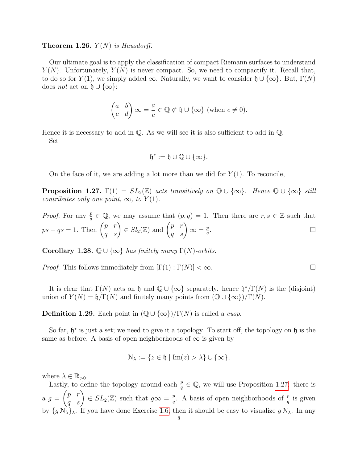## **Theorem 1.26.**  $Y(N)$  is Hausdorff.

Our ultimate goal is to apply the classification of compact Riemann surfaces to understand  $Y(N)$ . Unfortunately,  $Y(N)$  is never compact. So, we need to compactify it. Recall that, to do so for  $Y(1)$ , we simply added  $\infty$ . Naturally, we want to consider  $\mathfrak{h} \cup {\infty}$ . But,  $\Gamma(N)$ does *not* act on  $\mathfrak{h} \cup {\infty}$ :

$$
\begin{pmatrix} a & b \\ c & d \end{pmatrix} \infty = \frac{a}{c} \in \mathbb{Q} \not\subset \mathfrak{h} \cup \{\infty\} \text{ (when } c \neq 0\text{).}
$$

Hence it is necessary to add in  $\mathbb{O}$ . As we will see it is also sufficient to add in  $\mathbb{O}$ . Set

$$
\mathfrak{h}^*:=\mathfrak{h}\cup\mathbb{Q}\cup\{\infty\}.
$$

On the face of it, we are adding a lot more than we did for  $Y(1)$ . To reconcile,

<span id="page-7-0"></span>**Proposition 1.27.**  $\Gamma(1) = SL_2(\mathbb{Z})$  acts transitively on  $\mathbb{Q} \cup {\infty}$ . Hence  $\mathbb{Q} \cup {\infty}$  still contributes only one point,  $\infty$ , to  $Y(1)$ .

*Proof.* For any  $\frac{p}{q} \in \mathbb{Q}$ , we may assume that  $(p, q) = 1$ . Then there are  $r, s \in \mathbb{Z}$  such that  $ps - qs = 1.$  Then  $\begin{pmatrix} p & r \\ q & s \end{pmatrix} \in Sl_2(\mathbb{Z})$  and  $\begin{pmatrix} p & r \\ q & s \end{pmatrix} \infty = \frac{p}{q}$ q .

Corollary 1.28.  $\mathbb{Q} \cup {\infty}$  has finitely many  $\Gamma(N)$ -orbits.

*Proof.* This follows immediately from  $[\Gamma(1) : \Gamma(N)] < \infty$ .

It is clear that  $\Gamma(N)$  acts on h and  $\mathbb{Q} \cup {\infty}$  separately. hence  $\mathfrak{h}^*/\Gamma(N)$  is the (disjoint) union of  $Y(N) = \mathfrak{h}/\Gamma(N)$  and finitely many points from  $(\mathbb{Q} \cup {\infty})/\Gamma(N)$ .

**Definition 1.29.** Each point in  $(\mathbb{Q} \cup {\infty})/\Gamma(N)$  is called a *cusp*.

So far,  $\mathfrak{h}^*$  is just a set; we need to give it a topology. To start off, the topology on  $\mathfrak{h}$  is the same as before. A basis of open neighborhoods of  $\infty$  is given by

$$
\mathcal{N}_{\lambda} := \{ z \in \mathfrak{h} \mid \text{Im}(z) > \lambda \} \cup \{ \infty \},
$$

where  $\lambda \in \mathbb{R}_{>0}$ .

Lastly, to define the topology around each  $\frac{p}{q} \in \mathbb{Q}$ , we will use Proposition [1.27:](#page-7-0) there is  $a \, g =$  $\begin{pmatrix} p & r \\ q & s \end{pmatrix} \in SL_2(\mathbb{Z})$  such that  $g\infty = \frac{p}{q}$  $\frac{p}{q}$ . A basis of open neighborhoods of  $\frac{p}{q}$  is given by  $\{g \mathcal{N}_{\lambda}\}_{\lambda}$ . If you have done Exercise [1.6,](#page-1-0) then it should be easy to visualize  $g \mathcal{N}_{\lambda}$ . In any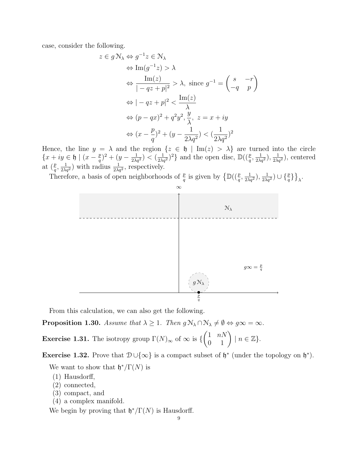case, consider the following.

$$
z \in g \mathcal{N}_{\lambda} \Leftrightarrow g^{-1}z \in \mathcal{N}_{\lambda}
$$
  
\n
$$
\Leftrightarrow \text{Im}(g^{-1}z) > \lambda
$$
  
\n
$$
\Leftrightarrow \frac{\text{Im}(z)}{|-qz+p|^2} > \lambda, \text{ since } g^{-1} = \begin{pmatrix} s & -r \\ -q & p \end{pmatrix}
$$
  
\n
$$
\Leftrightarrow |-qz+p|^2 < \frac{\text{Im}(z)}{\lambda}
$$
  
\n
$$
\Leftrightarrow (p-qx)^2 + q^2y^2, \frac{y}{\lambda}, z = x + iy
$$
  
\n
$$
\Leftrightarrow (x - \frac{p}{q})^2 + (y - \frac{1}{2\lambda q^2}) < (\frac{1}{2\lambda q^2})^2
$$

Hence, the line  $y = \lambda$  and the region  $\{z \in \mathfrak{h} \mid \text{Im}(z) > \lambda\}$  are turned into the circle  $\{x+iy\in\mathfrak{h}\mid (x-\frac{p}{a})\}$  $(\frac{p}{q})^2 + (y - \frac{1}{2\lambda q^2}) < (\frac{1}{2\lambda q^2})^2$  and the open disc,  $\mathbb{D}((\frac{p}{q}, \frac{1}{2\lambda q^2}), \frac{1}{2\lambda q^2})$ , centered at  $(\frac{p}{q}, \frac{1}{2\lambda q^2})$  with radius  $\frac{1}{2\lambda q^2}$ , respectively.

Therefore, a basis of open neighborhoods of  $\frac{p}{q}$  is given by  $\left\{\mathbb{D}((\frac{p}{q}, \frac{1}{2\lambda q^2}), \frac{1}{2\lambda q^2}) \cup \{\frac{p}{q}\}\right\}_{\lambda}$ .



From this calculation, we can also get the following.

<span id="page-8-0"></span>**Proposition 1.30.** Assume that  $\lambda \geq 1$ . Then  $g \mathcal{N}_{\lambda} \cap \mathcal{N}_{\lambda} \neq \emptyset \Leftrightarrow g \infty = \infty$ .

**Exercise 1.31.** The isotropy group  $\Gamma(N)_{\infty}$  of  $\infty$  is {  $\begin{pmatrix} 1 & nN \\ 0 & 1 \end{pmatrix}$  |  $n \in \mathbb{Z}$  }.

<span id="page-8-1"></span>Exercise 1.32. Prove that  $\mathcal{D} \cup \{\infty\}$  is a compact subset of  $\mathfrak{h}^*$  (under the topology on  $\mathfrak{h}^*$ ).

We want to show that  $\mathfrak{h}^*/\Gamma(N)$  is

- (1) Hausdorff,
- (2) connected,
- (3) compact, and
- (4) a complex manifold.

We begin by proving that  $\mathfrak{h}^*/\Gamma(N)$  is Hausdorff.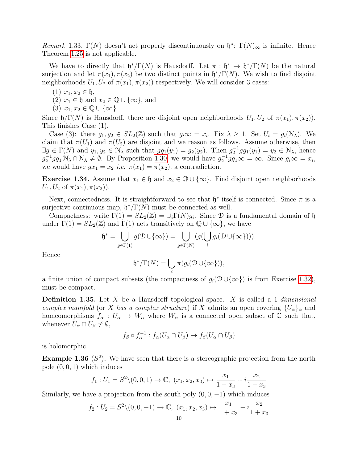Remark 1.33.  $\Gamma(N)$  doesn't act properly discontinuously on  $\mathfrak{h}^*$ :  $\Gamma(N)_{\infty}$  is infinite. Hence Theorem [1.25](#page-6-2) is not applicable.

We have to directly that  $\mathfrak{h}^*/\Gamma(N)$  is Hausdorff. Let  $\pi : \mathfrak{h}^* \to \mathfrak{h}^*/\Gamma(N)$  be the natural surjection and let  $\pi(x_1), \pi(x_2)$  be two distinct points in  $\mathfrak{h}^*/\Gamma(N)$ . We wish to find disjoint neighborhoods  $U_1, U_2$  of  $\pi(x_1), \pi(x_2)$  respectively. We will consider 3 cases:

- (1)  $x_1, x_2 \in \mathfrak{h}$ ,
- (2)  $x_1 \in \mathfrak{h}$  and  $x_2 \in \mathbb{Q} \cup \{\infty\}$ , and
- (3)  $x_1, x_2 \in \mathbb{Q} \cup \{\infty\}.$

Since  $\mathfrak{h}/\Gamma(N)$  is Hausdorff, there are disjoint open neighborhoods  $U_1, U_2$  of  $\pi(x_1), \pi(x_2)$ . This finishes Case (1).

Case (3): there  $g_1, g_2 \in SL_2(\mathbb{Z})$  such that  $g_i \infty = x_i$ . Fix  $\lambda \geq 1$ . Set  $U_i = g_i(\mathcal{N}_{\lambda})$ . We claim that  $\pi(U_1)$  and  $\pi(U_2)$  are disjoint and we reason as follows. Assume otherwise, then  $\exists g \in \Gamma(N)$  and  $y_1, y_2 \in \mathcal{N}_{\lambda}$  such that  $gg_1(y_1) = g_2(y_2)$ . Then  $g_2^{-1}gg_1(y_1) = y_2 \in \mathcal{N}_{\lambda}$ , hence  $g_2^{-1}gg_1\mathcal{N}_\lambda\cap\mathcal{N}_\lambda\neq\emptyset$ . By Proposition [1.30,](#page-8-0) we would have  $g_2^{-1}gg_1\infty=\infty$ . Since  $g_i\infty=x_i$ , we would have  $gx_1 = x_2$  *i.e.*  $\pi(x_1) = \pi(x_2)$ , a contradiction.

**Exercise 1.34.** Assume that  $x_1 \in \mathfrak{h}$  and  $x_2 \in \mathbb{Q} \cup \{\infty\}$ . Find disjoint open neighborhoods  $U_1, U_2$  of  $\pi(x_1), \pi(x_2)$ .

Next, connectedness. It is straightforward to see that  $\mathfrak{h}^*$  itself is connected. Since  $\pi$  is a surjective continuous map,  $\mathfrak{h}^*/\Gamma(N)$  must be connected as well.

Compactness: write  $\Gamma(1) = SL_2(\mathbb{Z}) = \cup_i \Gamma(N)g_i$ . Since  $\mathcal D$  is a fundamental domain of  $\mathfrak h$ under  $\Gamma(1) = SL_2(\mathbb{Z})$  and  $\Gamma(1)$  acts transitively on  $\mathbb{Q} \cup {\infty}$ , we have

$$
\mathfrak{h}^* = \bigcup_{g \in \Gamma(1)} g(\mathcal{D} \cup \{\infty\}) = \bigcup_{g \in \Gamma(N)} (g(\bigcup_i g_i(\mathcal{D} \cup \{\infty\}))).
$$

Hence

$$
\mathfrak{h}^*/\Gamma(N) = \bigcup_i \pi(g_i(\mathcal{D}\cup\{\infty\})),
$$

a finite union of compact subsets (the compactness of  $g_i(\mathcal{D} \cup \{\infty\})$  is from Exercise [1.32\)](#page-8-1), must be compact.

**Definition 1.35.** Let X be a Hausdorff topological space. X is called a 1-dimensional complex manifold (or X has a complex structure) if X admits an open covering  $\{U_{\alpha}\}_\alpha$  and homeomorphisms  $f_{\alpha}: U_{\alpha} \to W_{\alpha}$  where  $W_{\alpha}$  is a connected open subset of  $\mathbb C$  such that, whenever  $U_{\alpha} \cap U_{\beta} \neq \emptyset$ ,

$$
f_{\beta} \circ f_{\alpha}^{-1} : f_{\alpha}(U_{\alpha} \cap U_{\beta}) \to f_{\beta}(U_{\alpha} \cap U_{\beta})
$$

is holomorphic.

**Example 1.36** ( $S^2$ ). We have seen that there is a stereographic projection from the north pole  $(0, 0, 1)$  which induces

$$
f_1: U_1 = S^2 \setminus (0, 0, 1) \to \mathbb{C}, \ (x_1, x_2, x_3) \mapsto \frac{x_1}{1 - x_3} + i \frac{x_2}{1 - x_3}
$$

Similarly, we have a projection from the south poly  $(0, 0, -1)$  which induces

$$
f_2: U_2 = S^2 \setminus (0, 0, -1) \to \mathbb{C}, \ (x_1, x_2, x_3) \mapsto \frac{x_1}{1 + x_3} - i \frac{x_2}{1 + x_3}
$$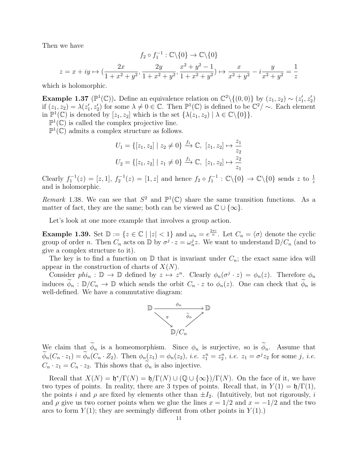Then we have

$$
f_2 \circ f_1^{-1} : \mathbb{C} \backslash \{0\} \to \mathbb{C} \backslash \{0\}
$$

$$
z = x + iy \mapsto \left(\frac{2x}{1 + x^2 + y^2}, \frac{2y}{1 + x^2 + y^2}, \frac{x^2 + y^2 - 1}{1 + x^2 + y^2}\right) \mapsto \frac{x}{x^2 + y^2} - i\frac{y}{x^2 + y^2} = \frac{1}{z}
$$

which is holomorphic.

**Example 1.37** ( $\mathbb{P}^1(\mathbb{C})$ ). Define an equivalence relation on  $\mathbb{C}^2 \setminus \{(0,0)\}$  by  $(z_1, z_2) \sim (z'_1, z'_2)$ if  $(z_1, z_2) = \lambda(z_1', z_2')$  for some  $\lambda \neq 0 \in \mathbb{C}$ . Then  $\mathbb{P}^1(\mathbb{C})$  is defined to be  $\mathbb{C}^2/\sim$ . Each element in  $\mathbb{P}^1(\mathbb{C})$  is denoted by  $[z_1, z_2]$  which is the set  $\{\lambda(z_1, z_2) \mid \lambda \in \mathbb{C} \setminus \{0\}\}.$ 

 $\mathbb{P}^1(\mathbb{C})$  is called the complex projective line.

 $\mathbb{P}^1(\mathbb{C})$  admits a complex structure as follows.

$$
U_1 = \{ [z_1, z_2] \mid z_2 \neq 0 \} \xrightarrow{f_1} \mathbb{C}, \ [z_1, z_2] \mapsto \frac{z_1}{z_2}
$$

$$
U_2 = \{ [z_1, z_2] \mid z_1 \neq 0 \} \xrightarrow{f_1} \mathbb{C}, \ [z_1, z_2] \mapsto \frac{z_2}{z_1}
$$

Clearly  $f_1^{-1}(z) = [z, 1], f_2^{-1}(z) = [1, z]$  and hence  $f_2 \circ f_1^{-1} : \mathbb{C} \setminus \{0\} \to \mathbb{C} \setminus \{0\}$  sends z to  $\frac{1}{z}$ and is holomorphic.

Remark 1.38. We can see that  $S^2$  and  $\mathbb{P}^1(\mathbb{C})$  share the same transition functions. As a matter of fact, they are the same; both can be viewed as  $\mathbb{C} \cup \{\infty\}.$ 

Let's look at one more example that involves a group action.

**Example 1.39.** Set  $\mathbb{D} := \{z \in \mathbb{C} \mid |z| < 1\}$  and  $\omega_n = e^{\frac{2\pi i}{n}}$ . Let  $C_n = \langle \sigma \rangle$  denote the cyclic group of order n. Then  $C_n$  acts on  $\mathbb{D}$  by  $\sigma^j \cdot z = \omega_n^j z$ . We want to understand  $\mathbb{D}/C_n$  (and to give a complex structure to it).

The key is to find a function on  $\mathbb D$  that is invariant under  $C_n$ ; the exact same idea will appear in the construction of charts of  $X(N)$ .

Consider  $phi_n : \mathbb{D} \to \mathbb{D}$  defined by  $z \mapsto z^n$ . Clearly  $\phi_n(\sigma^j \cdot z) = \phi_n(z)$ . Therefore  $\phi_n$ induces  $\phi_n : \mathbb{D}/C_n \to \mathbb{D}$  which sends the orbit  $C_n \cdot z$  to  $\phi_n(z)$ . One can check that  $\phi_n$  is well-defined. We have a commutative diagram:



We claim that  $\widetilde{\phi}_n$  is a homeomorphism. Since  $\phi_n$  is surjective, so is  $\widetilde{\phi}_n$ . Assume that  $\phi_n(C_n \cdot z_1) = \phi_n(C_n \cdot Z_2)$ . Then  $\phi_n(z_1) = \phi_n(z_2)$ , *i.e.*  $z_1^n = z_2^n$ , *i.e.*  $z_1 = \sigma^j z_2$  for some j, *i.e.*  $C_n \cdot z_1 = C_n \cdot z_2$ . This shows that  $\phi_n$  is also injective.

Recall that  $X(N) = \mathfrak{h}^*/\Gamma(N) = \mathfrak{h}/\Gamma(N) \cup (\mathbb{Q} \cup {\infty})/\Gamma(N)$ . On the face of it, we have two types of points. In reality, there are 3 types of points. Recall that, in  $Y(1) = \mathfrak{h}/\Gamma(1)$ , the points i and  $\rho$  are fixed by elements other than  $\pm I_2$ . (Intuitively, but not rigorously, i and  $\rho$  give us two corner points when we glue the lines  $x = 1/2$  and  $x = -1/2$  and the two arcs to form  $Y(1)$ ; they are seemingly different from other points in  $Y(1)$ .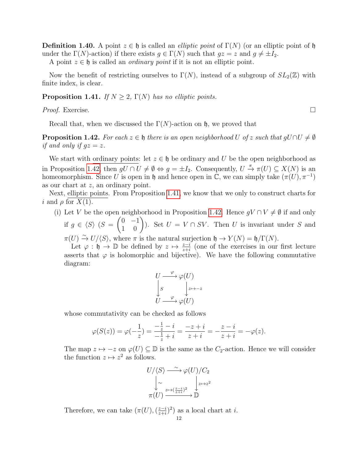**Definition 1.40.** A point  $z \in \mathfrak{h}$  is called an *elliptic point* of  $\Gamma(N)$  (or an elliptic point of  $\mathfrak{h}$ under the  $\Gamma(N)$ -action) if there exists  $g \in \Gamma(N)$  such that  $gz = z$  and  $g \neq \pm I_2$ .

A point  $z \in \mathfrak{h}$  is called an *ordinary point* if it is not an elliptic point.

Now the benefit of restricting ourselves to  $\Gamma(N)$ , instead of a subgroup of  $SL_2(\mathbb{Z})$  with finite index, is clear.

# <span id="page-11-1"></span>**Proposition 1.41.** If  $N \geq 2$ ,  $\Gamma(N)$  has no elliptic points.

Proof. Exercise. □

Recall that, when we discussed the  $\Gamma(N)$ -action on h, we proved that

<span id="page-11-0"></span>**Proposition 1.42.** For each  $z \in \mathfrak{h}$  there is an open neighborhood U of z such that  $gU \cap U \neq \emptyset$ if and only if  $gz = z$ .

We start with ordinary points: let  $z \in \mathfrak{h}$  be ordinary and U be the open neighborhood as in Proposition [1.42,](#page-11-0) then  $gU \cap U \neq \emptyset \Leftrightarrow g = \pm I_2$ . Consequently,  $U \stackrel{\pi}{\to} \pi(U) \subseteq X(N)$  is an homeomorphism. Since U is open in h and hence open in  $\mathbb{C}$ , we can simply take  $(\pi(U), \pi^{-1})$ as our chart at z, an ordinary point.

Next, elliptic points. From Proposition [1.41,](#page-11-1) we know that we only to construct charts for i and  $\rho$  for  $X(1)$ .

- (i) Let V be the open neighborhood in Proposition [1.42.](#page-11-0) Hence  $gV \cap V \neq \emptyset$  if and only if  $g \in \langle S \rangle$  (S =  $\begin{pmatrix} 0 & -1 \\ 1 & 0 \end{pmatrix}$ ). Set  $U = V \cap SV$ . Then U is invariant under S and
	- $\pi(U) \stackrel{\sim}{\to} U/\langle S \rangle$ , where  $\pi$  is the natural surjection  $\mathfrak{h} \to Y(N) = \mathfrak{h}/\Gamma(N)$ .

Let  $\varphi : \mathfrak{h} \to \mathbb{D}$  be defined by  $z \mapsto \frac{z-i}{z+i}$  (one of the exercises in our first lecture asserts that  $\varphi$  is holomorphic and bijective). We have the following commutative diagram:

$$
U \xrightarrow{\varphi} \varphi(U)
$$
  
\n
$$
\downarrow s \qquad \qquad \downarrow z \mapsto -z
$$
  
\n
$$
U \xrightarrow{\varphi} \varphi(U)
$$

whose commutativity can be checked as follows

$$
\varphi(S(z)) = \varphi(-\frac{1}{z}) = \frac{-\frac{1}{z} - i}{-\frac{1}{z} + i} = \frac{-z + i}{z + i} = -\frac{z - i}{z + i} = -\varphi(z).
$$

The map  $z \mapsto -z$  on  $\varphi(U) \subseteq \mathbb{D}$  is the same as the  $C_2$ -action. Hence we will consider the function  $z \mapsto z^2$  as follows.

$$
U/\langle S \rangle \longrightarrow \varphi(U)/C_2
$$
  
\n
$$
\downarrow \sim \qquad \qquad \downarrow \qquad \downarrow \downarrow
$$
  
\n
$$
\pi(U) \longrightarrow \mathbb{D}
$$

Therefore, we can take  $(\pi(U),\left(\frac{z-i}{z+i}\right))$  $\frac{z-i}{z+i}$ <sup>2</sup>) as a local chart at *i*.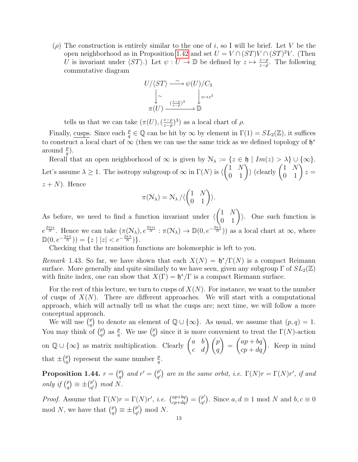( $\rho$ ) The construction is entirely similar to the one of i, so I will be brief. Let V be the open neighborhood as in Proposition [1.42](#page-11-0) and set  $U = V \cap (ST)V \cap (ST)^2V$ . (Then U is invariant under  $\langle ST \rangle$ .) Let  $\psi : U \to \mathbb{D}$  be defined by  $z \mapsto \frac{z-\rho}{z-\overline{\rho}}$ . The following commutative diagram



tells us that we can take  $(\pi(U),\left(\frac{z-\rho}{z-\overline{\rho}}\right))$  $\frac{z-\rho}{z-\bar{\rho}}$ <sup>3</sup>) as a local chart of  $\rho$ .

Finally, cusps. Since each  $\frac{p}{q} \in \mathbb{Q}$  can be hit by  $\infty$  by element in  $\Gamma(1) = SL_2(\mathbb{Z})$ , it suffices to construct a local chart of  $\infty$  (then we can use the same trick as we defined topology of  $\mathfrak{h}^*$ around  $\frac{p}{q}$ ).

Recall that an open neighborhood of  $\infty$  is given by  $\mathcal{N}_{\lambda} := \{z \in \mathfrak{h} \mid Im(z) > \lambda\} \cup \{\infty\}.$ Let's assume  $\lambda \geq 1$ . The isotropy subgroup of  $\infty$  in  $\Gamma(N)$  is  $\langle$  $\begin{pmatrix} 1 & N \\ 0 & 1 \end{pmatrix}$  (clearly  $\begin{pmatrix} 1 & N \\ 0 & 1 \end{pmatrix} z =$  $z + N$ ). Hence

$$
\pi(\mathcal{N}_{\lambda}) = \mathcal{N}_{\lambda} / \langle \begin{pmatrix} 1 & N \\ 0 & 1 \end{pmatrix} \rangle.
$$

As before, we need to find a function invariant under  $\langle$  $\begin{pmatrix} 1 & N \\ 0 & 1 \end{pmatrix}$ . One such function is  $e^{\frac{2\pi i z}{N}}$ . Hence we can take  $(\pi(\mathcal{N}_{\lambda}), e^{\frac{2\pi i z}{N}} : \pi(\mathcal{N}_{\lambda}) \to \mathbb{D}(0, e^{-\frac{2\pi \lambda}{N}})$  as a local chart at  $\infty$ , where  $\mathbb{D}(0, e^{-\frac{2\pi\lambda}{N}})\ = \{z \mid |z| < e^{-\frac{2\pi\lambda}{N}}\}.$ 

Checking that the transition functions are holomorphic is left to you.

Remark 1.43. So far, we have shown that each  $X(N) = \mathfrak{h}^*/\Gamma(N)$  is a compact Reimann surface. More generally and quite similarly to we have seen, given any subgroup  $\Gamma$  of  $SL_2(\mathbb{Z})$ with finite index, one can show that  $X(\Gamma) = \mathfrak{h}^*/\Gamma$  is a compact Riemann surface.

For the rest of this lecture, we turn to cusps of  $X(N)$ . For instance, we want to the number of cusps of  $X(N)$ . There are different approaches. We will start with a computational approach, which will actually tell us what the cusps are; next time, we will follow a more conceptual approach.

We will use  $\binom{p}{q}$  $_q^p$ ) to denote an element of  $\mathbb{Q} \cup \{\infty\}$ . As usual, we assume that  $(p, q) = 1$ . You may think of  $\binom{p}{q}$  $\binom{p}{q}$  as  $\frac{p}{q}$ . We use  $\binom{p}{q}$  $_{q}^{p}$ ) since it is more convenient to treat the  $\Gamma(N)$ -action on  $\mathbb{Q} \cup \{\infty\}$  as matrix multiplication. Clearly  $\begin{pmatrix} a & b \\ c & d \end{pmatrix} \begin{pmatrix} p \\ q \end{pmatrix}$  $\setminus$ =  $\begin{pmatrix} ap + bq \\ cp + dq \end{pmatrix}$ . Keep in mind that  $\pm \binom{p}{q}$  $_p^p$  represent the same number  $\frac{p}{q}$ .

Proposition 1.44.  $r = \binom{p}{q}$  $\binom{p}{q}$  and  $r' = \binom{p'}{q'}$  $\binom{p'}{q'}$  are in the same orbit, i.e.  $\Gamma(N)r = \Gamma(N)r'$ , if and only if  $\binom{p}{q}$  $\binom{p}{q} \equiv \pm \binom{p'}{q'}$  $_{q'}^{p'}$  mod N.

*Proof.* Assume that  $\Gamma(N)r = \Gamma(N)r'$ , *i.e.*  $\binom{ap+bq}{cp+dq} = \binom{p'}{q'}$  $\binom{p'}{q'}$ . Since  $a, d \equiv 1 \mod N$  and  $b, c \equiv 0$ mod N, we have that  $\binom{p}{q}$  $\binom{p}{q} \equiv \pm \binom{p'}{q'}$  $_{q'}^{p'}$  mod N.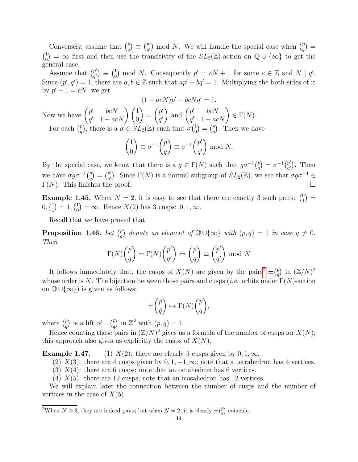Conversely, assume that  $\binom{p}{q}$  $\binom{p}{q} \equiv \binom{p'}{q'}$  $\binom{p'}{q'}$  mod N. We will handle the special case when  $\binom{p}{q'}$  $\binom{p}{q} =$  $\binom{1}{0}$  $S_{0}(n_{0}) = \infty$  first and then use the transitivity of the  $SL_{2}(\mathbb{Z})$ -action on  $\mathbb{Q} \cup \{\infty\}$  to get the general case.

Assume that  $\binom{p'}{q'}$  $_{q'}^{p')}\,\equiv\,\left(\begin{smallmatrix} 1\0\end{smallmatrix}\right)$  $\binom{1}{0}$  mod N. Consequently  $p' = cN + 1$  for some  $c \in \mathbb{Z}$  and  $N | q'$ . Since  $(p', q') = 1$ , there are  $a, b \in \mathbb{Z}$  such that  $ap' + bq' = 1$ . Multiplying the both sides of it by  $p' - 1 = cN$ , we get

$$
(1 - acN)p' - bcNq' = 1.
$$

Now we have  $\begin{pmatrix} p' & bcN \\ c' & 1 & c \end{pmatrix}$  $\left(\begin{matrix} p' & bcN\ q' & 1-acN \end{matrix}\right) \left(\begin{matrix} 1\ 0 \end{matrix}\right)$  $\setminus$ =  $(p^{\prime})$  $q^{\prime}$ ) and  $\begin{pmatrix} p' & bcN \\ c' & 1 & ac \end{pmatrix}$  $p'$   $bcN$ <br>  $q'$   $1 - acN$ )  $\in \Gamma(N)$ . For each  $\binom{p}{q}$ <sup>p</sup><sub>q</sub></sub>), there is a  $\sigma \in SL_2(\mathbb{Z})$  such that  $\sigma \begin{pmatrix} 1 \\ 0 \end{pmatrix}$  $\binom{1}{0} = \binom{p}{q}$  $\binom{p}{q}$ . Then we have

$$
\begin{pmatrix} 1 \\ 0 \end{pmatrix} \equiv \sigma^{-1} \begin{pmatrix} p \\ q \end{pmatrix} \equiv \sigma^{-1} \begin{pmatrix} p' \\ q' \end{pmatrix} \bmod N.
$$

By the special case, we know that there is a  $g \in \Gamma(N)$  such that  $g\sigma^{-1}\binom{p}{q}$  $\genfrac{}{}{0pt}{}{p}{q}=\sigma^{-1}\genfrac{}{}{0pt}{}{p'}{q'}$  $_{q'}^{p'}$ ). Then we have  $\sigma g \sigma^{-1} \binom{p}{q}$  $\binom{p}{q} = \binom{p'}{q'}$  $\mathbb{P}'_{q'}$ ). Since  $\Gamma(N)$  is a normal subgroup of  $SL_2(\mathbb{Z})$ , we see that  $\sigma g \sigma^{-1} \in$  $\Gamma(N)$ . This finishes the proof.

**Example 1.45.** When  $N = 2$ , it is easy to see that there are exactly 3 such pairs:  $\binom{0}{1}$  $\binom{0}{1} =$  $0,({}^1_1$  $\binom{1}{1} = 1, \binom{1}{0}$  $\binom{1}{0} = \infty$ . Hence  $X(2)$  has 3 cusps:  $0, 1, \infty$ .

Recall that we have proved that

Proposition 1.46. Let  $\binom{p}{q}$  $_q^p$  denote an element of  $\mathbb{Q} \cup \{\infty\}$  with  $(p,q) = 1$  in case  $q \neq 0$ . Then

$$
\Gamma(N) \binom{p}{q} = \Gamma(N) \binom{p'}{q'} \Leftrightarrow \binom{p}{q} \equiv \binom{p'}{q'} \text{ mod } N
$$

It follows immediately that, the cusps of  $X(N)$  are given by the pairs<sup>[2](#page-13-0)</sup>  $\pm(\frac{\bar{p}}{n})$  $\binom{\bar{p}}{\bar{q}}$  in  $(\mathbb{Z}/N)^2$ whose order is N. The bijection between those pairs and cusps (*i.e.* orbits under  $\Gamma(N)$ -action on  $\mathbb{Q} \cup \{\infty\}$  is given as follows:

$$
\pm \begin{pmatrix} \bar{p} \\ \bar{q} \end{pmatrix} \mapsto \Gamma(N) \begin{pmatrix} p \\ q \end{pmatrix},
$$

where  $\binom{p}{q}$  $\binom{p}{q}$  is a lift of  $\pm \left(\frac{\bar{p}}{\bar{q}}\right)$  $\binom{\bar{p}}{\bar{q}}$  in  $\mathbb{Z}^2$  with  $(p, q) = 1$ .

Hence counting those pairs in  $(\mathbb{Z}/N)^2$  gives us a formula of the number of cusps for  $X(N)$ ; this approach also gives us explicitly the cusps of  $X(N)$ .

**Example 1.47.** (1)  $X(2)$ : there are clearly 3 cusps given by  $0, 1, \infty$ .

(2)  $X(3)$ : there are 4 cusps given by 0, 1, -1,  $\infty$ ; note that a tetrahedron has 4 vertices.

(3)  $X(4)$ : there are 6 cusps; note that an octahedron has 6 vertices.

(4)  $X(5)$ : there are 12 cusps; note that an icosahedron has 12 vertices.

We will explain later the connection between the number of cusps and the number of vertices in the case of  $X(5)$ .

<span id="page-13-0"></span><sup>2</sup>When  $N \geq 3$ , they are indeed pairs; but when  $N = 2$ , it is clearly  $\pm(\frac{\bar{p}}{q})$  coincide.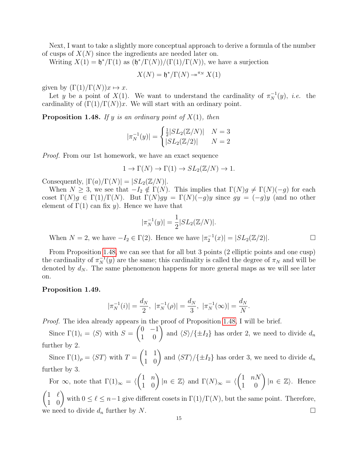Next, I want to take a slightly more conceptual approach to derive a formula of the number of cusps of  $X(N)$  since the ingredients are needed later on.

Writing  $X(1) = \frac{\mathfrak{h}^*}{\Gamma(1)}$  as  $\frac{\mathfrak{h}^*}{\Gamma(N)} / \frac{\Gamma(1)}{\Gamma(N)}$ , we have a surjection

$$
X(N) = \mathfrak{h}^* / \Gamma(N) \mathop{\twoheadrightarrow}^{\pi_N} X(1)
$$

given by  $(\Gamma(1)/\Gamma(N))x \mapsto x$ .

Let y be a point of  $X(1)$ . We want to understand the cardinality of  $\pi_N^{-1}(y)$ , *i.e.* the cardinality of  $(\Gamma(1)/\Gamma(N))x$ . We will start with an ordinary point.

<span id="page-14-0"></span>**Proposition 1.48.** If y is an ordinary point of  $X(1)$ , then

$$
|\pi_N^{-1}(y)| = \begin{cases} \frac{1}{2}|SL_2(\mathbb{Z}/N)| & N = 3\\ |SL_2(\mathbb{Z}/2)| & N = 2 \end{cases}
$$

Proof. From our 1st homework, we have an exact sequence

$$
1 \to \Gamma(N) \to \Gamma(1) \to SL_2(\mathbb{Z}/N) \to 1.
$$

Consequently,  $|\Gamma(a)/\Gamma(N)| = |SL_2(\mathbb{Z}/N)|$ .

When  $N \geq 3$ , we see that  $-I_2 \notin \Gamma(N)$ . This implies that  $\Gamma(N)g \neq \Gamma(N)(-g)$  for each coset  $\Gamma(N)g \in \Gamma(1)/\Gamma(N)$ . But  $\Gamma(N)gy = \Gamma(N)(-g)y$  since  $gy = (-g)y$  (and no other element of  $\Gamma(1)$  can fix y). Hence we have that

$$
|\pi_N^{-1}(y)| = \frac{1}{2}|SL_2(\mathbb{Z}/N)|.
$$

When  $N = 2$ , we have  $-I_2 \in \Gamma(2)$ . Hence we have  $|\pi_2^{-1}(x)| = |SL_2(\mathbb{Z}/2)|$ .

From Proposition [1.48,](#page-14-0) we can see that for all but 3 points (2 elliptic points and one cusp) the cardinality of  $\pi_N^{-1}(y)$  are the same; this cardinality is called the degree of  $\pi_N$  and will be denoted by  $d_N$ . The same phenomenon happens for more general maps as we will see later on.

# <span id="page-14-1"></span>Proposition 1.49.

$$
|\pi_N^{-1}(i)| = \frac{d_N}{2}, \ |\pi_N^{-1}(\rho)| = \frac{d_N}{3}, \ |\pi_N^{-1}(\infty)| = \frac{d_N}{N}.
$$

Proof. The idea already appears in the proof of Proposition [1.48,](#page-14-0) I will be brief.

Since  $\Gamma(1)_i = \langle S \rangle$  with  $S =$  $\begin{pmatrix} 0 & -1 \\ 1 & 0 \end{pmatrix}$  and  $\langle S \rangle / \{\pm I_2\}$  has order 2, we need to divide  $d_n$ further by 2.

Since  $\Gamma(1)_{\rho} = \langle ST \rangle$  with  $T =$  $\begin{pmatrix} 1 & 1 \\ 1 & 0 \end{pmatrix}$  and  $\langle ST \rangle / \{\pm I_2\}$  has order 3, we need to divide  $d_n$ further by 3.

For  $\infty$ , note that  $\Gamma(1)_{\infty} = \langle$  $\begin{pmatrix} 1 & n \\ 1 & 0 \end{pmatrix} |n \in \mathbb{Z} \rangle$  and  $\Gamma(N)_{\infty} = \langle \begin{pmatrix} 1 & nN \\ 1 & 0 \end{pmatrix} |n \in \mathbb{Z} \rangle$ . Hence  $\begin{pmatrix} 1 & \ell \\ 1 & 0 \end{pmatrix}$  with  $0 \leq \ell \leq n-1$  give different cosets in  $\Gamma(1)/\Gamma(N)$ , but the same point. Therefore, we need to divide  $d_n$  further by N.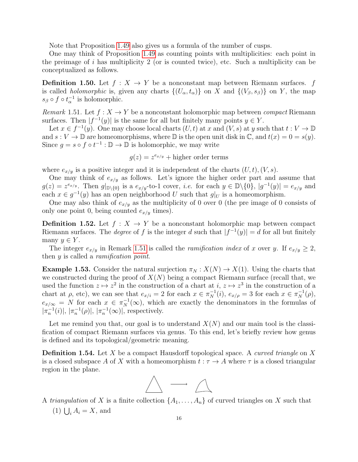Note that Proposition [1.49](#page-14-1) also gives us a formula of the number of cusps.

One may think of Proposition [1.49](#page-14-1) as counting points with multiplicities: each point in the preimage of i has multiplicity 2 (or is counted twice), etc. Such a multiplicity can be conceptualized as follows.

**Definition 1.50.** Let  $f : X \to Y$  be a nonconstant map between Riemann surfaces. f is called *holomorphic* is, given any charts  $\{(U_\alpha, t_\alpha)\}\$  on X and  $\{(V_\beta, s_\beta)\}\$  on Y, the map  $s_{\beta} \circ f \circ t_{\alpha}^{-1}$  is holomorphic.

<span id="page-15-0"></span>Remark 1.51. Let  $f: X \to Y$  be a nonconstant holomorphic map between *compact* Riemann surfaces. Then  $|f^{-1}(y)|$  is the same for all but finitely many points  $y \in Y$ .

Let  $x \in f^{-1}(y)$ . One may choose local charts  $(U, t)$  at x and  $(V, s)$  at y such that  $t : V \to \mathbb{D}$ and  $s: V \to \mathbb{D}$  are homeomorphisms, where  $\mathbb D$  is the open unit disk in  $\mathbb C$ , and  $t(x) = 0 = s(y)$ . Since  $g = s \circ f \circ t^{-1} : \mathbb{D} \to \mathbb{D}$  is holomorphic, we may write

$$
g(z) = z^{e_{x/y}} +
$$
higher order terms

where  $e_{x/y}$  is a positive integer and it is independent of the charts  $(U, t), (V, s)$ .

One may think of  $e_{x/y}$  as follows. Let's ignore the higher order part and assume that  $g(z) = z^{e_{x/y}}$ . Then  $g|_{\mathbb{D}\setminus\{0\}}$  is a  $e_{x/y}$ -to-1 cover, *i.e.* for each  $y \in \mathbb{D}\setminus\{0\}$ ,  $|g^{-1}(y)| = e_{x/y}$  and each  $x \in g^{-1}(y)$  has an open neighborhood U such that  $g|_U$  is a homeomorphism.

One may also think of  $e_{x/y}$  as the multiplicity of 0 over 0 (the pre image of 0 consists of only one point 0, being counted  $e_{x/y}$  times).

**Definition 1.52.** Let  $f: X \to Y$  be a nonconstant holomorphic map between compact Riemann surfaces. The *degree* of f is the integer d such that  $|f^{-1}(y)| = d$  for all but finitely many  $y \in Y$ .

The integer  $e_{x/y}$  in Remark [1.51](#page-15-0) is called the *ramification index* of x over y. If  $e_{x/y} \geq 2$ , then y is called a *ramification point*.

**Example 1.53.** Consider the natural surjection  $\pi_N : X(N) \to X(1)$ . Using the charts that we constructed during the proof of  $X(N)$  being a compact Riemann surface (recall that, we used the function  $z \mapsto z^2$  in the construction of a chart at  $i, z \mapsto z^3$  in the construction of a chart at  $\rho$ , etc), we can see that  $e_{x/i} = 2$  for each  $x \in \pi_N^{-1}(i)$ ,  $e_{x/\rho} = 3$  for each  $x \in \pi_N^{-1}(\rho)$ ,  $e_{x/\infty} = N$  for each  $x \in \pi_N^{-1}(\infty)$ , which are exactly the denominators in the formulas of  $|\pi_n^{-1}(i)|, |\pi_n^{-1}(\rho)|, |\pi_n^{-1}(\infty)|$ , respectively.

Let me remind you that, our goal is to understand  $X(N)$  and our main tool is the classification of compact Riemann surfaces via genus. To this end, let's briefly review how genus is defined and its topological/geometric meaning.

**Definition 1.54.** Let X be a compact Hausdorff topological space. A *curved triangle* on X is a closed subspace A of X with a homeomorphism  $t : \tau \to A$  where  $\tau$  is a closed triangular region in the plane.



A triangulation of X is a finite collection  $\{A_1, \ldots, A_n\}$  of curved triangles on X such that (1)  $\bigcup_i A_i = X$ , and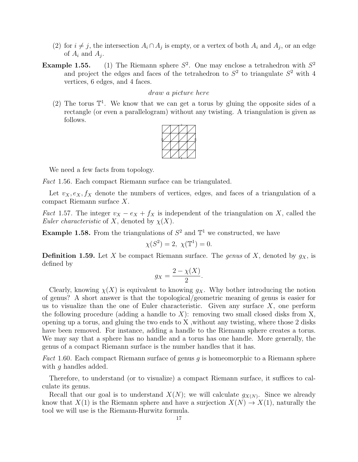- (2) for  $i \neq j$ , the intersection  $A_i \cap A_j$  is empty, or a vertex of both  $A_i$  and  $A_j$ , or an edge of  $A_i$  and  $A_j$ .
- **Example 1.55.** (1) The Riemann sphere  $S^2$ . One may enclose a tetrahedron with  $S^2$ and project the edges and faces of the tetrahedron to  $S<sup>2</sup>$  to triangulate  $S<sup>2</sup>$  with 4 vertices, 6 edges, and 4 faces.

# draw a picture here

(2) The torus  $\mathbb{T}^1$ . We know that we can get a torus by gluing the opposite sides of a rectangle (or even a parallelogram) without any twisting. A triangulation is given as follows.



We need a few facts from topology.

Fact 1.56. Each compact Riemann surface can be triangulated.

Let  $v_X, e_X, f_X$  denote the numbers of vertices, edges, and faces of a triangulation of a compact Riemann surface X.

*Fact* 1.57. The integer  $v_X - e_X + f_X$  is independent of the triangulation on X, called the Euler characteristic of X, denoted by  $\chi(X)$ .

**Example 1.58.** From the triangulations of  $S^2$  and  $\mathbb{T}^1$  we constructed, we have

$$
\chi(S^2) = 2, \ \chi(\mathbb{T}^1) = 0.
$$

**Definition 1.59.** Let X be compact Riemann surface. The genus of X, denoted by  $g_X$ , is defined by

$$
g_X = \frac{2 - \chi(X)}{2}.
$$

Clearly, knowing  $\chi(X)$  is equivalent to knowing  $g_X$ . Why bother introducing the notion of genus? A short answer is that the topological/geometric meaning of genus is easier for us to visualize than the one of Euler characteristic. Given any surface  $X$ , one perform the following procedure (adding a handle to  $X$ ): removing two small closed disks from  $X$ , opening up a torus, and gluing the two ends to X ,without any twisting, where those 2 disks have been removed. For instance, adding a handle to the Riemann sphere creates a torus. We may say that a sphere has no handle and a torus has one handle. More generally, the genus of a compact Riemann surface is the number handles that it has.

Fact 1.60. Each compact Riemann surface of genus q is homeomorphic to a Riemann sphere with q handles added.

Therefore, to understand (or to visualize) a compact Riemann surface, it suffices to calculate its genus.

Recall that our goal is to understand  $X(N)$ ; we will calculate  $g_{X(N)}$ . Since we already know that  $X(1)$  is the Riemann sphere and have a surjection  $X(N) \to X(1)$ , naturally the tool we will use is the Riemann-Hurwitz formula.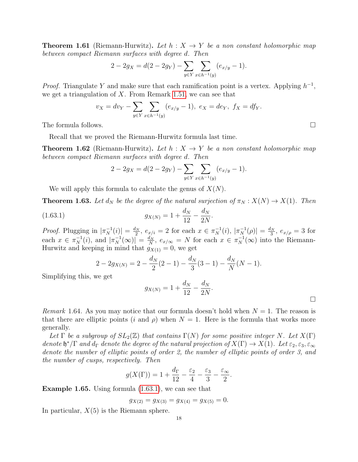**Theorem 1.61** (Riemann-Hurwitz). Let  $h: X \rightarrow Y$  be a non constant holomorphic map between compact Riemann surfaces with degree d. Then

$$
2 - 2g_X = d(2 - 2g_Y) - \sum_{y \in Y} \sum_{x \in h^{-1}(y)} (e_{x/y} - 1).
$$

*Proof.* Triangulate Y and make sure that each ramification point is a vertex. Applying  $h^{-1}$ , we get a triangulation of  $X$ . From Remark [1.51,](#page-15-0) we can see that

$$
v_X = dv_Y - \sum_{y \in Y} \sum_{x \in h^{-1}(y)} (e_{x/y} - 1), \ e_X = de_Y, \ f_X = df_Y.
$$

The formula follows.  $\Box$ 

Recall that we proved the Riemann-Hurwitz formula last time.

**Theorem 1.62** (Riemann-Hurwitz). Let  $h: X \rightarrow Y$  be a non constant holomorphic map between compact Riemann surfaces with degree d. Then

$$
2 - 2g_X = d(2 - 2g_Y) - \sum_{y \in Y} \sum_{x \in h^{-1}(y)} (e_{x/y} - 1).
$$

We will apply this formula to calculate the genus of  $X(N)$ .

**Theorem 1.63.** Let  $d_N$  be the degree of the natural surjection of  $\pi_N : X(N) \to X(1)$ . Then

(1.63.1) 
$$
g_{X(N)} = 1 + \frac{d_N}{12} - \frac{d_N}{2N}.
$$

*Proof.* Plugging in  $|\pi_N^{-1}(i)| = \frac{d_N}{2}$  $\frac{d_N}{2}$ ,  $e_{x/i} = 2$  for each  $x \in \pi_N^{-1}(i)$ ,  $|\pi_N^{-1}(\rho)| = \frac{d_N}{3}$  $\frac{g_N}{3}$ ,  $e_{x/\rho}=3$  for each  $x \in \pi_N^{-1}(i)$ , and  $|\pi_N^{-1}(\infty)| = \frac{d_N}{N}$  $\frac{d_N}{N}$ ,  $e_{x/\infty} = N$  for each  $x \in \pi_N^{-1}(\infty)$  into the Riemann-Hurwitz and keeping in mind that  $g_{X(1)} = 0$ , we get

$$
2 - 2g_{X(N)} = 2 - \frac{d_N}{2}(2 - 1) - \frac{d_N}{3}(3 - 1) - \frac{d_N}{N}(N - 1).
$$

Simplifying this, we get

$$
g_{X(N)} = 1 + \frac{d_N}{12} - \frac{d_N}{2N}.
$$

*Remark* 1.64. As you may notice that our formula doesn't hold when  $N = 1$ . The reason is that there are elliptic points (i and  $\rho$ ) when  $N = 1$ . Here is the formula that works more generally.

Let  $\Gamma$  be a subgroup of  $SL_2(\mathbb{Z})$  that contains  $\Gamma(N)$  for some positive integer N. Let  $X(\Gamma)$ denote  $\mathfrak{h}^*/\Gamma$  and  $d_{\Gamma}$  denote the degree of the natural projection of  $X(\Gamma) \to X(1)$ . Let  $\varepsilon_2, \varepsilon_3, \varepsilon_{\infty}$ denote the number of elliptic points of order 2, the number of elliptic points of order 3, and the number of cusps, respectively. Then

$$
g(X(\Gamma)) = 1 + \frac{d_{\Gamma}}{12} - \frac{\varepsilon_2}{4} - \frac{\varepsilon_3}{3} - \frac{\varepsilon_{\infty}}{2}.
$$

Example 1.65. Using formula [\(1.63.1\)](#page-2-1), we can see that

$$
g_{X(2)} = g_{X(3)} = g_{X(4)} = g_{X(5)} = 0.
$$

In particular,  $X(5)$  is the Riemann sphere.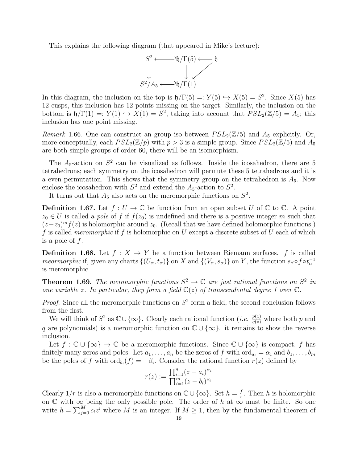This explains the following diagram (that appeared in Mike's lecture):



In this diagram, the inclusion on the top is  $\mathfrak{h}/\Gamma(5) = Y(5) \hookrightarrow X(5) = S^2$ . Since  $X(5)$  has 12 cusps, this inclusion has 12 points missing on the target. Similarly, the inclusion on the bottom is  $\mathfrak{h}/\Gamma(1) =: Y(1) \hookrightarrow X(1) = S^2$ , taking into account that  $PSL_2(\mathbb{Z}/5) = A_5$ ; this inclusion has one point missing.

Remark 1.66. One can construct an group iso between  $PSL_2(\mathbb{Z}/5)$  and  $A_5$  explicitly. Or, more conceptually, each  $PSL_2(\mathbb{Z}/p)$  with  $p > 3$  is a simple group. Since  $PSL_2(\mathbb{Z}/5)$  and  $A_5$ are both simple groups of order 60, there will be an isomorphism.

The  $A_5$ -action on  $S^2$  can be visualized as follows. Inside the icosahedron, there are 5 tetrahedrons; each symmetry on the icosahedron will permute these 5 tetrahedrons and it is a even permutation. This shows that the symmetry group on the tetrahedron is  $A_5$ . Now enclose the icosahedron with  $S^2$  and extend the  $A_5$ -action to  $S^2$ .

It turns out that  $A_5$  also acts on the meromorphic functions on  $S^2$ .

**Definition 1.67.** Let  $f: U \to \mathbb{C}$  be function from an open subset U of  $\mathbb{C}$  to  $\mathbb{C}$ . A point  $z_0 \in U$  is called a pole of f if  $f(z_0)$  is undefined and there is a positive integer m such that  $(z-z_0)^m f(z)$  is holomorphic around  $z_0$ . (Recall that we have defined holomorphic functions.) f is called *meromorphic* if f is holomorphic on U except a discrete subset of U each of which is a pole of  $f$ .

**Definition 1.68.** Let  $f : X \to Y$  be a function between Riemann surfaces. f is called meormorphic if, given any charts  $\{(U_\alpha, t_\alpha)\}\$  on X and  $\{(V_\alpha, s_\alpha)\}\$  on Y, the function  $s_\beta \circ f \circ t_\alpha^{-1}$ is meromorphic.

**Theorem 1.69.** The meromorphic functions  $S^2 \to \mathbb{C}$  are just rational functions on  $S^2$  in one variable z. In particular, they form a field  $\mathbb{C}(z)$  of transcendental degree 1 over  $\mathbb{C}$ .

*Proof.* Since all the meromorphic functions on  $S^2$  form a field, the second conclusion follows from the first.

We will think of  $S^2$  as  $\mathbb{C}\cup\{\infty\}$ . Clearly each rational function (*i.e.*  $\frac{p(z)}{q(z)}$  where both p and q are polynomials) is a meromorphic function on  $\mathbb{C} \cup \{\infty\}$ . it remains to show the reverse inclusion.

Let  $f: \mathbb{C} \cup {\infty} \rightarrow \mathbb{C}$  be a meromorphic functions. Since  $\mathbb{C} \cup {\infty}$  is compact, f has finitely many zeros and poles. Let  $a_1, \ldots, a_n$  be the zeros of f with  $\text{ord}_{a_i} = \alpha_i$  and  $b_1, \ldots, b_m$ be the poles of f with  $\text{ord}_{b_i}(f) = -\beta_i$ . Consider the rational function  $r(z)$  defined by

$$
r(z) := \frac{\prod_{i=1}^{n} (z - a_i)^{\alpha_i}}{\prod_{i=1}^{m} (z - b_i)^{\beta_i}}
$$

Clearly  $1/r$  is also a meromorphic functions on  $\mathbb{C}\cup\{\infty\}$ . Set  $h=\frac{f}{r}$  $\frac{f}{r}$ . Then h is holomorphic on  $\mathbb C$  with  $\infty$  being the only possible pole. The order of h at  $\infty$  must be finite. So one write  $h = \sum_{j=0}^{M} c_i z^i$  where M is an integer. If  $M \geq 1$ , then by the fundamental theorem of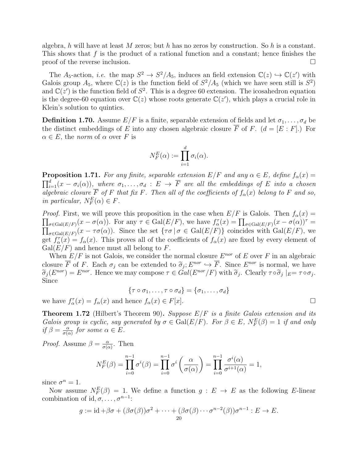algebra, h will have at least M zeros; but h has no zeros by construction. So h is a constant. This shows that  $f$  is the product of a rational function and a constant; hence finishes the proof of the reverse inclusion.

The A<sub>5</sub>-action, *i.e.* the map  $S^2 \to S^2/A_5$ , induces an field extension  $\mathbb{C}(z) \hookrightarrow \mathbb{C}(z')$  with Galois group  $A_5$ , where  $\mathbb{C}(z)$  is the function field of  $S^2/A_5$  (which we have seen still is  $S^2$ ) and  $\mathbb{C}(z')$  is the function field of  $S^2$ . This is a degree 60 extension. The icosahedron equation is the degree-60 equation over  $\mathbb{C}(z)$  whose roots generate  $\mathbb{C}(z')$ , which plays a crucial role in Klein's solution to quintics.

**Definition 1.70.** Assume  $E/F$  is a finite, separable extension of fields and let  $\sigma_1, \ldots, \sigma_d$  be the distinct embeddings of E into any chosen algebraic closure  $\overline{F}$  of F. ( $d = [E : F]$ .) For  $\alpha \in E$ , the norm of  $\alpha$  over F is

$$
N_F^E(\alpha) := \prod_{i=1}^d \sigma_i(\alpha).
$$

**Proposition 1.71.** For any finite, separable extension  $E/F$  and any  $\alpha \in E$ , define  $f_{\alpha}(x) =$  $\prod_{i=1}^d(x - \sigma_i(\alpha)),$  where  $\sigma_1, \ldots, \sigma_d : E \to \overline{F}$  are all the embeddings of E into a chosen algebraic closure  $\overline{F}$  of  $F$  that fix  $F$ . Then all of the coefficients of  $f_{\alpha}(x)$  belong to  $F$  and so, in particular,  $N_F^E(\alpha) \in F$ .

*Proof.* First, we will prove this proposition in the case when  $E/F$  is Galois. Then  $f_{\alpha}(x) =$  $\prod_{\sigma \in \text{Gal}(E/F)} (x - \sigma(\alpha))$ . For any  $\tau \in \text{Gal}(E/F)$ , we have  $f_{\alpha}^{\tau}(x) = \prod_{\sigma \in \text{Gal}(E/F)} (x - \sigma(\alpha))^{\tau}$  $\prod_{\sigma \in \text{Gal}(E/F)} (x - \tau \sigma(\alpha))$ . Since the set  $\{\tau \sigma \mid \sigma \in \text{Gal}(E/F)\}$  coincides with  $\text{Gal}(E/F)$ , we get  $f_{\alpha}^{\tau}(x) = f_{\alpha}(x)$ . This proves all of the coefficients of  $f_{\alpha}(x)$  are fixed by every element of  $Gal(E/F)$  and hence must all belong to F.

When  $E/F$  is not Galois, we consider the normal closure  $E^{nor}$  of E over F in an algebraic closure  $\overline{F}$  of F. Each  $\sigma_j$  can be extended to  $\tilde{\sigma}_j$ ;  $E^{nor} \hookrightarrow \overline{F}$ . Since  $E^{nor}$  is normal, we have  $\tilde{\sigma}_j$  ( $E^{nor}$ )  $E^{nor}$  Honor we may compose  $\tau \in Gal(F^{nor}/F)$  with  $\tilde{\sigma}_j$ . Closure  $\tau \circ \tilde{\sigma}_j$   $|_{\tau} = \tau$  $\widetilde{\sigma}_j(E^{nor}) = E^{nor}$ . Hence we may compose  $\tau \in Gal(E^{nor}/F)$  with  $\widetilde{\sigma}_j$ . Clearly  $\tau \circ \widetilde{\sigma}_j |_{E} = \tau \circ \sigma_j$ .<br>Since Since

$$
\{\tau \circ \sigma_1, \ldots, \tau \circ \sigma_d\} = \{\sigma_1, \ldots, \sigma_d\}
$$

we have  $f_{\alpha}^{\tau}(x) = f_{\alpha}(x)$  and hence  $f_{\alpha}(x) \in F[x]$ .

**Theorem 1.72** (Hilbert's Theorem 90). Suppose  $E/F$  is a finite Galois extension and its Galois group is cyclic, say generated by  $\sigma \in \text{Gal}(E/F)$ . For  $\beta \in E$ ,  $N_F^E(\beta) = 1$  if and only if  $\beta = \frac{\alpha}{\sigma}$  $\frac{\alpha}{\sigma(\alpha)}$  for some  $\alpha \in E$ .

*Proof.* Assume  $\beta = \frac{\alpha}{\sigma G}$  $\frac{\alpha}{\sigma(\alpha)}$ . Then

$$
N_F^E(\beta) = \prod_{i=0}^{n-1} \sigma^i(\beta) = \prod_{i=0}^{n-1} \sigma^i\left(\frac{\alpha}{\sigma(\alpha)}\right) = \prod_{i=0}^{n-1} \frac{\sigma^i(\alpha)}{\sigma^{i+1}(\alpha)} = 1,
$$

since  $\sigma^n = 1$ .

Now assume  $N_F^E(\beta) = 1$ . We define a function  $g: E \to E$  as the following E-linear combination of id,  $\sigma$ , ...,  $\sigma^{n-1}$ :

$$
g := \mathrm{id} + \beta \sigma + (\beta \sigma(\beta))\sigma^2 + \cdots + (\beta \sigma(\beta) \cdots \sigma^{n-2}(\beta))\sigma^{n-1} : E \to E.
$$
  
20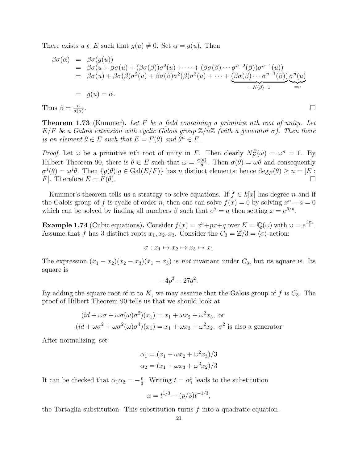There exists  $u \in E$  such that  $g(u) \neq 0$ . Set  $\alpha = g(u)$ . Then

$$
\beta\sigma(\alpha) = \beta\sigma(g(u))
$$
  
\n
$$
= \beta\sigma(u + \beta\sigma(u) + (\beta\sigma(\beta))\sigma^2(u) + \cdots + (\beta\sigma(\beta)\cdots\sigma^{n-2}(\beta))\sigma^{n-1}(u))
$$
  
\n
$$
= \beta\sigma(u) + \beta\sigma(\beta)\sigma^2(u) + \beta\sigma(\beta)\sigma^2(\beta)\sigma^3(u) + \cdots + (\beta\sigma(\beta)\cdots\sigma^{n-1}(\beta))\sigma^n(u)
$$
  
\n
$$
= g(u) = \alpha.
$$
  
\n
$$
\beta = \frac{\alpha}{\sigma(\alpha)}.
$$

Th  $\sigma(\alpha)$ 

**Theorem 1.73** (Kummer). Let  $F$  be a field containing a primitive nth root of unity. Let  $E/F$  be a Galois extension with cyclic Galois group  $\mathbb{Z}/n\mathbb{Z}$  (with a generator  $\sigma$ ). Then there is an element  $\theta \in E$  such that  $E = F(\theta)$  and  $\theta^n \in F$ .

*Proof.* Let  $\omega$  be a primitive *n*th root of unity in F. Then clearly  $N_F^E(\omega) = \omega^n = 1$ . By Hilbert Theorem 90, there is  $\theta \in E$  such that  $\omega = \frac{\sigma(\theta)}{\theta}$  $\frac{\partial \theta}{\partial \theta}$ . Then  $\sigma(\theta) = \omega \theta$  and consequently  $\sigma^{j}(\theta) = \omega^{j}\theta$ . Then  $\{g(\theta)|g \in \text{Gal}(E/F)\}\$  has n distinct elements; hence  $\text{deg}_F(\theta) \geq n = [E:\]$ F. Therefore  $E = F(\theta)$ .

Kummer's theorem tells us a strategy to solve equations. If  $f \in k[x]$  has degree n and if the Galois group of f is cyclic of order n, then one can solve  $f(x) = 0$  by solving  $x<sup>n</sup> - a = 0$ which can be solved by finding all numbers  $\beta$  such that  $e^{\beta} = a$  then setting  $x = e^{\beta/n}$ .

**Example 1.74** (Cubic equations). Consider  $f(x) = x^3 + px + q$  over  $K = \mathbb{Q}(\omega)$  with  $\omega = e^{\frac{2\pi i}{3}}$ . Assume that f has 3 distinct roots  $x_1, x_2, x_3$ . Consider the  $C_3 = \mathbb{Z}/3 = \langle \sigma \rangle$ -action:

$$
\sigma: x_1 \mapsto x_2 \mapsto x_3 \mapsto x_1
$$

The expression  $(x_1 - x_2)(x_2 - x_3)(x_1 - x_3)$  is not invariant under  $C_3$ , but its square is. Its square is

$$
-4p^3 - 27q^2.
$$

By adding the square root of it to  $K$ , we may assume that the Galois group of  $f$  is  $C_3$ . The proof of Hilbert Theorem 90 tells us that we should look at

$$
(id + \omega \sigma + \omega \sigma(\omega)\sigma^2)(x_1) = x_1 + \omega x_2 + \omega^2 x_3
$$
, or  

$$
(id + \omega \sigma^2 + \omega \sigma^2(\omega)\sigma^4)(x_1) = x_1 + \omega x_3 + \omega^2 x_2
$$
,  $\sigma^2$  is also a generator

After normalizing, set

$$
\alpha_1 = (x_1 + \omega x_2 + \omega^2 x_3)/3
$$
  

$$
\alpha_2 = (x_1 + \omega x_3 + \omega^2 x_2)/3
$$

It can be checked that  $\alpha_1 \alpha_2 = -\frac{p}{3}$  $\frac{p}{3}$ . Writing  $t = \alpha_1^3$  leads to the substitution

$$
x = t^{1/3} - (p/3)t^{-1/3},
$$

the Tartaglia substitution. This substitution turns  $f$  into a quadratic equation.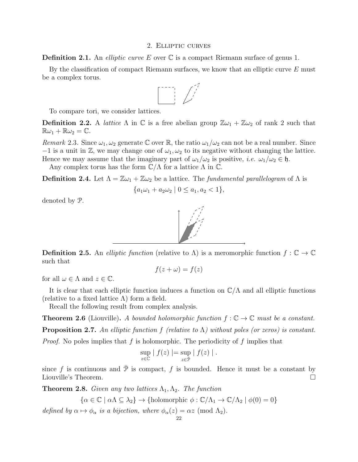## 2. Elliptic curves

<span id="page-21-1"></span>**Definition 2.1.** An *elliptic curve E* over  $\mathbb C$  is a compact Riemann surface of genus 1.

By the classification of compact Riemann surfaces, we know that an elliptic curve  $E$  must be a complex torus.



To compare tori, we consider lattices.

**Definition 2.2.** A *lattice*  $\Lambda$  in  $\mathbb C$  is a free abelian group  $\mathbb Z \omega_1 + \mathbb Z \omega_2$  of rank 2 such that  $\mathbb{R}\omega_1 + \mathbb{R}\omega_2 = \mathbb{C}.$ 

Remark 2.3. Since  $\omega_1, \omega_2$  generate C over R, the ratio  $\omega_1/\omega_2$  can not be a real number. Since  $-1$  is a unit in  $\mathbb{Z}$ , we may change one of  $\omega_1, \omega_2$  to its negative without changing the lattice. Hence we may assume that the imaginary part of  $\omega_1/\omega_2$  is positive, *i.e.*  $\omega_1/\omega_2 \in \mathfrak{h}$ .

Any complex torus has the form  $\mathbb{C}/\Lambda$  for a lattice  $\Lambda$  in  $\mathbb{C}$ .

**Definition 2.4.** Let  $\Lambda = \mathbb{Z}\omega_1 + \mathbb{Z}\omega_2$  be a lattice. The fundamental parallelogram of  $\Lambda$  is

$$
\{a_1\omega_1 + a_2\omega_2 \mid 0 \le a_1, a_2 < 1\},\
$$

denoted by P.



**Definition 2.5.** An *elliptic function* (relative to  $\Lambda$ ) is a meromorphic function  $f : \mathbb{C} \to \mathbb{C}$ such that

$$
f(z + \omega) = f(z)
$$

for all  $\omega \in \Lambda$  and  $z \in \mathbb{C}$ .

It is clear that each elliptic function induces a function on  $\mathbb{C}/\Lambda$  and all elliptic functions (relative to a fixed lattice  $\Lambda$ ) form a field.

Recall the following result from complex analysis.

<span id="page-21-0"></span>**Theorem 2.6** (Liouville). A bounded holomorphic function  $f : \mathbb{C} \to \mathbb{C}$  must be a constant. **Proposition 2.7.** An elliptic function f (relative to  $\Lambda$ ) without poles (or zeros) is constant.

*Proof.* No poles implies that f is holomorphic. The periodicity of f implies that

$$
\sup_{z \in \mathbb{C}} |f(z)| = \sup_{z \in \overline{\mathcal{P}}} |f(z)|.
$$

since f is continuous and  $\overline{P}$  is compact, f is bounded. Hence it must be a constant by Liouville's Theorem.

**Theorem 2.8.** Given any two lattices  $\Lambda_1, \Lambda_2$ . The function

$$
\{\alpha \in \mathbb{C} \mid \alpha \Lambda \subseteq \lambda_2\} \to \{\text{holomorphic } \phi : \mathbb{C}/\Lambda_1 \to \mathbb{C}/\Lambda_2 \mid \phi(0) = 0\}
$$

defined by  $\alpha \mapsto \phi_{\alpha}$  is a bijection, where  $\phi_{\alpha}(z) = \alpha z \pmod{\Lambda_2}$ .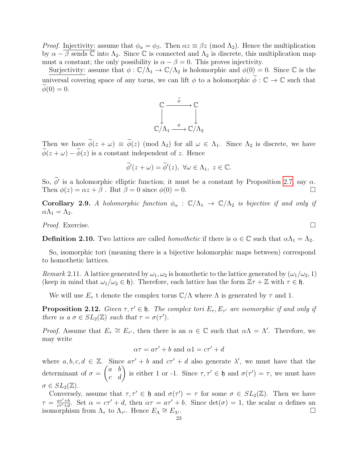*Proof.* Injectivity: assume that  $\phi_{\alpha} = \phi_{\beta}$ . Then  $\alpha z \equiv \beta z \pmod{\Lambda_2}$ . Hence the multiplication by  $\alpha - \beta$  sends  $\mathbb C$  into  $\Lambda_2$ . Since  $\mathbb C$  is connected and  $\Lambda_2$  is discrete, this multiplication map must a constant; the only possibility is  $\alpha - \beta = 0$ . This proves injectivity.

Surjectivity: assume that  $\phi : \mathbb{C}/\Lambda_1 \to \mathbb{C}/\Lambda_2$  is holomorphic and  $\phi(0) = 0$ . Since  $\mathbb C$  is the universal covering space of any torus, we can lift  $\phi$  to a holomorphic  $\phi : \mathbb{C} \to \mathbb{C}$  such that  $\phi(0) = 0.$ 



Then we have  $\widetilde{\phi}(z + \omega) \equiv \widetilde{\phi}(z) \pmod{\Lambda_2}$  for all  $\omega \in \Lambda_1$ . Since  $\Lambda_2$  is discrete, we have  $\widetilde{\phi}(z + \omega) - \widetilde{\phi}(z)$  is a constant independent of z. Hence

$$
\widetilde{\phi}'(z+\omega)=\widetilde{\phi}'(z),\,\,\forall\omega\in\Lambda_1,\,\,z\in\mathbb{C}.
$$

So,  $\phi'$  is a holomorphic elliptic function; it must be a constant by Proposition [2.7,](#page-21-0) say  $\alpha$ . Then  $\phi(z) = \alpha z + \beta$ . But  $\beta = 0$  since  $\phi(0) = 0$ .

Corollary 2.9. A holomorphic function  $\phi_{\alpha}: \mathbb{C}/\Lambda_1 \to \mathbb{C}/\Lambda_2$  is bijective if and only if  $\alpha\Lambda_1 = \Lambda_2$ .

*Proof.* Exercise.  $\Box$ 

**Definition 2.10.** Two lattices are called *homothetic* if there is  $\alpha \in \mathbb{C}$  such that  $\alpha \Lambda_1 = \Lambda_2$ .

So, isomorphic tori (meaning there is a bijective holomorphic maps between) correspond to homothetic lattices.

*Remark* 2.11. A lattice generated by  $\omega_1, \omega_2$  is homothetic to the lattice generated by  $(\omega_1/\omega_2, 1)$ (keep in mind that  $\omega_1/\omega_2 \in \mathfrak{h}$ ). Therefore, each lattice has the form  $\mathbb{Z}\tau + \mathbb{Z}$  with  $\tau \in \mathfrak{h}$ .

We will use  $E_{\tau}$  t denote the complex torus  $\mathbb{C}/\Lambda$  where  $\Lambda$  is generated by  $\tau$  and 1.

**Proposition 2.12.** Given  $\tau, \tau' \in \mathfrak{h}$ . The complex tori  $E_{\tau}, E_{\tau'}$  are isomorphic if and only if there is  $a \sigma \in SL_2(\mathbb{Z})$  such that  $\tau = \sigma(\tau')$ .

*Proof.* Assume that  $E_{\tau} \cong E_{\tau'}$ , then there is an  $\alpha \in \mathbb{C}$  such that  $\alpha \Lambda = \Lambda'$ . Therefore, we may write

$$
\alpha \tau = a\tau' + b \text{ and } \alpha 1 = c\tau' + d
$$

where  $a, b, c, d \in \mathbb{Z}$ . Since  $a\tau' + b$  and  $c\tau' + d$  also generate  $\lambda'$ , we must have that the determinant of  $\sigma =$  $\begin{pmatrix} a & b \\ c & d \end{pmatrix}$  is either 1 or -1. Since  $\tau, \tau' \in \mathfrak{h}$  and  $\sigma(\tau') = \tau$ , we must have  $\sigma \in SL_2(\mathbb{Z}).$ 

Conversely, assume that  $\tau, \tau' \in \mathfrak{h}$  and  $\sigma(\tau') = \tau$  for some  $\sigma \in SL_2(\mathbb{Z})$ . Then we have  $\tau = \frac{a\tau' + b}{c\tau' + d}$  $\frac{a\tau'+b}{c\tau'+d}$ . Set  $\alpha = c\tau' + d$ , then  $\alpha\tau = a\tau' + b$ . Since  $\det(\sigma) = 1$ , the scalar  $\alpha$  defines an isomorphism from  $\Lambda_{\tau}$  to  $\Lambda_{\tau'}$ . Hence  $E_{\Lambda}$  $\cong E_{\Lambda'}$ .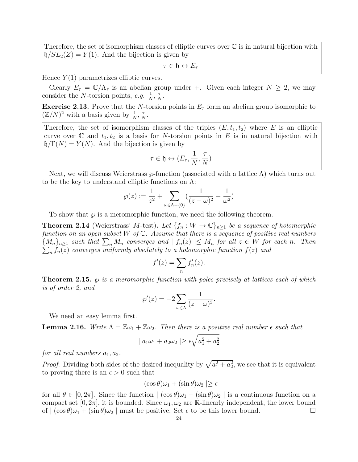Therefore, the set of isomorphism classes of elliptic curves over  $\mathbb C$  is in natural bijection with  $\mathfrak{h}/SL_2(Z) = Y(1)$ . And the bijection is given by

 $\tau \in \mathfrak{h} \leftrightarrow E_\tau$ 

Hence  $Y(1)$  parametrizes elliptic curves.

Clearly  $E_{\tau} = \mathbb{C}/\Lambda_{\tau}$  is an abelian group under +. Given each integer  $N \geq 2$ , we may consider the *N*-torsion points, e.g.  $\frac{1}{N}$ ,  $\frac{7}{N}$  $\frac{\tau}{N}$ .

**Exercise 2.13.** Prove that the N-torsion points in  $E<sub>\tau</sub>$  form an abelian group isomorphic to  $(\mathbb{Z}/N)^2$  with a basis given by  $\frac{1}{N}$ ,  $\frac{7}{N}$  $\frac{\tau}{N}$ .

Therefore, the set of isomorphism classes of the triples  $(E, t_1, t_2)$  where E is an elliptic curve over  $\mathbb C$  and  $t_1, t_2$  is a basis for N-torsion points in E is in natural bijection with  $\mathfrak{h}/\Gamma(N) = Y(N)$ . And the bijection is given by

$$
\tau \in \mathfrak{h} \leftrightarrow (E_{\tau}, \frac{1}{N}, \frac{\tau}{N})
$$

Next, we will discuss Weierstrass  $\wp$ -function (associated with a lattice  $\Lambda$ ) which turns out to be the key to understand elliptic functions on  $\Lambda$ :

$$
\wp(z) := \frac{1}{z^2} + \sum_{\omega \in \Lambda - \{0\}} \left( \frac{1}{(z - \omega)^2} - \frac{1}{\omega^2} \right)
$$

To show that  $\wp$  is a meromorphic function, we need the following theorem.

**Theorem 2.14** (Weierstrass' M-test). Let  $\{f_n : W \to \mathbb{C}\}_{n\geq 1}$  be a sequence of holomorphic function on an open subset  $W$  of  $\mathbb C$ . Assume that there is a sequence of positive real numbers  ${M_n}_{n \geq 1}$  such that  $\sum_n M_n$  converges and  $| f_n(z)| \leq M_n$  for all  $z \in W$  for each n. Then  $\sum_n f_n(z)$  converges uniformly absolutely to a holomorphic function  $f(z)$  and  $_{n}\,f_{n}(z)$  converges uniformly absolutely to a holomorphic function  $f(z)$  and

$$
f'(z) = \sum_{n} f'_n(z).
$$

<span id="page-23-0"></span>**Theorem 2.15.**  $\varphi$  is a meromorphic function with poles precisely at lattices each of which is of order 2, and

$$
\wp'(z) = -2 \sum_{\omega \in \Lambda} \frac{1}{(z - \omega)^3}.
$$

We need an easy lemma first.

<span id="page-23-1"></span>**Lemma 2.16.** Write  $\Lambda = \mathbb{Z}\omega_1 + \mathbb{Z}\omega_2$ . Then there is a positive real number  $\epsilon$  such that

$$
| a_1 \omega_1 + a_2 \omega_2 | \ge \epsilon \sqrt{a_1^2 + a_2^2}
$$

for all real numbers  $a_1, a_2$ .

*Proof.* Dividing both sides of the desired inequality by  $\sqrt{a_1^2 + a_2^2}$ , we see that it is equivalent to proving there is an  $\epsilon > 0$  such that

$$
| (\cos \theta) \omega_1 + (\sin \theta) \omega_2 | \ge \epsilon
$$

for all  $\theta \in [0, 2\pi]$ . Since the function  $|(\cos \theta)\omega_1 + (\sin \theta)\omega_2|$  is a continuous function on a compact set  $[0, 2\pi]$ , it is bounded. Since  $\omega_1, \omega_2$  are R-linearly independent, the lower bound of  $|(\cos \theta)\omega_1 + (\sin \theta)\omega_2|$  must be positive. Set  $\epsilon$  to be this lower bound.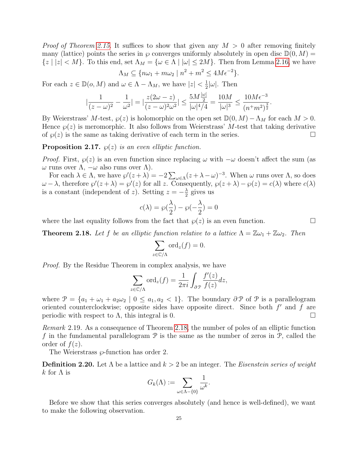*Proof of Theorem [2.15.](#page-23-0)* It suffices to show that given any  $M > 0$  after removing finitely many (lattice) points the series in  $\wp$  converges uniformly absolutely in open disc  $\mathbb{D}(0, M)$  =  $\{z \mid |z| < M\}$ . To this end, set  $\Lambda_M = \{\omega \in \Lambda \mid |\omega| \leq 2M\}$ . Then from Lemma [2.16,](#page-23-1) we have

$$
\Lambda_M \subseteq \{ n\omega_1 + m\omega_2 \mid n^2 + m^2 \le 4M\epsilon^{-2} \}.
$$

For each  $z \in \mathbb{D}(o, M)$  and  $\omega \in \Lambda - \Lambda_M$ , we have  $|z| < \frac{1}{2}$  $\frac{1}{2}|\omega|$ . Then

$$
|\frac{1}{(z-\omega)^2} - \frac{1}{\omega^2}| = |\frac{z(2\omega - z)}{(z-\omega)^2\omega^2}| \le \frac{5M\frac{|\omega|}{2}}{|\omega|^4/4} = \frac{10M}{|\omega|^3} \le \frac{10M\epsilon^{-3}}{(n^+m^2)^{\frac{3}{2}}}.
$$

By Weierstrass' M-test,  $\wp(z)$  is holomorphic on the open set  $\mathbb{D}(0, M) - \Lambda_M$  for each  $M > 0$ . Hence  $\wp(z)$  is meromorphic. It also follows from Weierstrass' M-test that taking derivative of  $\wp(z)$  is the same as taking derivative of each term in the series.

**Proposition 2.17.**  $\wp(z)$  is an even elliptic function.

*Proof.* First,  $\wp(z)$  is an even function since replacing  $\omega$  with  $-\omega$  doesn't affect the sum (as  $\omega$  runs over  $Λ$ ,  $-\omega$  also runs over  $Λ$ ).

For each  $\lambda \in \Lambda$ , we have  $\wp'(z+\lambda) = -2\sum_{\omega \in \Lambda} (z+\lambda-\omega)^{-3}$ . When  $\omega$  runs over  $\Lambda$ , so does  $\omega - \lambda$ , therefore  $\wp'(z + \lambda) = \wp'(z)$  for all z. Consequently,  $\wp(z + \lambda) - \wp(z) = c(\lambda)$  where  $c(\lambda)$ is a constant (independent of z). Setting  $z = -\frac{\lambda}{2}$  $\frac{\lambda}{2}$  gives us

$$
c(\lambda) = \wp(\frac{\lambda}{2}) - \wp(-\frac{\lambda}{2}) = 0
$$

where the last equality follows from the fact that  $\varphi(z)$  is an even function.

<span id="page-24-0"></span>**Theorem 2.18.** Let f be an elliptic function relative to a lattice  $\Lambda = \mathbb{Z}\omega_1 + \mathbb{Z}\omega_2$ . Then

$$
\sum_{z \in \mathbb{C}/\Lambda} \text{ord}_z(f) = 0.
$$

Proof. By the Residue Theorem in complex analysis, we have

$$
\sum_{z \in \mathbb{C}/\Lambda} \text{ord}_z(f) = \frac{1}{2\pi i} \int_{\partial \mathcal{P}} \frac{f'(z)}{f(z)} dz,
$$

where  $\mathcal{P} = \{a_1 + \omega_1 + a_2\omega_2 \mid 0 \leq a_1, a_2 < 1\}$ . The boundary  $\partial \mathcal{P}$  of  $\mathcal{P}$  is a parallelogram oriented counterclockwise; opposite sides have opposite direct. Since both  $f'$  and  $f$  are periodic with respect to  $\Lambda$ , this integral is 0.

Remark 2.19. As a consequence of Theorem [2.18,](#page-24-0) the number of poles of an elliptic function f in the fundamental parallelogram  $P$  is the same as the number of zeros in  $P$ , called the order of  $f(z)$ .

The Weierstrass  $\wp$ -function has order 2.

**Definition 2.20.** Let  $\Lambda$  be a lattice and  $k > 2$  be an integer. The *Eisenstein series of weight* k for  $\Lambda$  is

$$
G_k(\Lambda):=\sum_{\omega\in\Lambda-\{0\}}\frac{1}{\omega^k}.
$$

Before we show that this series converges absolutely (and hence is well-defined), we want to make the following observation.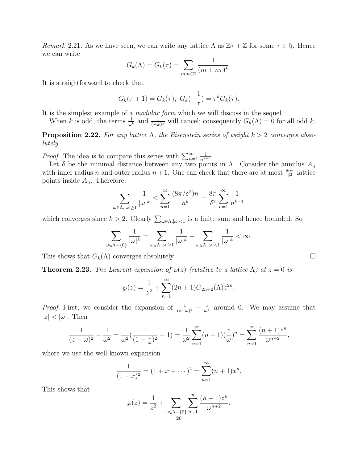Remark 2.21. As we have seen, we can write any lattice  $\Lambda$  as  $\mathbb{Z} \tau + \mathbb{Z}$  for some  $\tau \in \mathfrak{h}$ . Hence we can write

$$
G_k(\Lambda) = G_k(\tau) = \sum_{m,n \in \mathbb{Z}} \frac{1}{(m + n\tau)^k}.
$$

It is straightforward to check that

$$
G_k(\tau + 1) = G_k(\tau), \ G_k(-\frac{1}{\tau}) = \tau^k G_k(\tau).
$$

It is the simplest example of a modular form which we will discuss in the sequel.

When k is odd, the terms  $\frac{1}{\omega^k}$  and  $\frac{1}{(-\omega)^k}$  will cancel; consequently  $G_k(\Lambda) = 0$  for all odd k.

**Proposition 2.22.** For any lattice  $\Lambda$ , the Eisenstein series of weight  $k > 2$  converges absolutely.

*Proof.* The idea is to compare this series with  $\sum_{n=1}^{\infty}$ 1  $\frac{1}{n^{k-1}}$ .

Let  $\delta$  be the minimal distance between any two points in  $\Lambda$ . Consider the annulus  $A_n$ with inner radius n and outer radius  $n+1$ . One can check that there are at most  $\frac{8n\pi}{\delta^2}$  lattice points inside  $A_n$ . Therefore,

$$
\sum_{\omega \in \Lambda, |\omega| \ge 1} \frac{1}{|\omega|^k} \le \sum_{n=1}^{\infty} \frac{(8\pi/\delta^2)n}{n^k} = \frac{8\pi}{\delta^2} \sum_{n=1}^{\infty} \frac{1}{n^{k-1}}
$$

which converges since  $k > 2$ . Clearly  $\sum_{\omega \in \Lambda, |\omega| < 1}$  is a finite sum and hence bounded. So

$$
\sum_{\omega \in \Lambda - \{0\}} \frac{1}{|\omega|^k} = \sum_{\omega \in \Lambda, |\omega| \ge 1} \frac{1}{|\omega|^k} + \sum_{\omega \in \Lambda, |\omega| < 1} \frac{1}{|\omega|^k} < \infty.
$$

This shows that  $G_k(\Lambda)$  converges absolutely.

**Theorem 2.23.** The Laurent expansion of  $\wp(z)$  (relative to a lattice  $\Lambda$ ) at  $z = 0$  is

$$
\wp(z) = \frac{1}{z^2} + \sum_{n=1}^{\infty} (2n+1)G_{2n+2}(\Lambda)z^{2n}.
$$

*Proof.* First, we consider the expansion of  $\frac{1}{(z-\omega)^2} - \frac{1}{\omega^2}$  around 0. We may assume that  $|z| < |\omega|$ . Then

$$
\frac{1}{(z-\omega)^2} - \frac{1}{\omega^2} = \frac{1}{\omega^2} \left( \frac{1}{(1-\frac{z}{\omega})^2} - 1 \right) = \frac{1}{\omega^2} \sum_{n=1}^{\infty} (n+1) \left( \frac{z}{\omega} \right)^n = \sum_{n=1}^{\infty} \frac{(n+1)z^n}{\omega^{n+2}},
$$

where we use the well-known expansion

$$
\frac{1}{(1-x)^2} = (1+x+\cdots)^2 = \sum_{n=1}^{\infty} (n+1)x^n.
$$

This shows that

$$
\wp(z) = \frac{1}{z^2} + \sum_{\omega \in \Lambda - \{0\}} \sum_{n=1}^{\infty} \frac{(n+1)z^n}{\omega^{n+2}}.
$$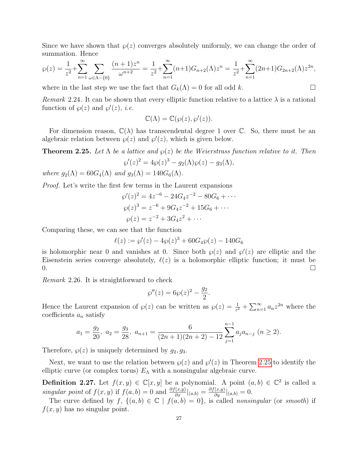Since we have shown that  $\varphi(z)$  converges absolutely uniformly, we can change the order of summation. Hence

$$
\wp(z) = \frac{1}{z^2} + \sum_{n=1}^{\infty} \sum_{\omega \in \Lambda - \{0\}} \frac{(n+1)z^n}{\omega^{n+2}} = \frac{1}{z^2} + \sum_{n=1}^{\infty} (n+1)G_{n+2}(\Lambda)z^n = \frac{1}{z^2} + \sum_{n=1}^{\infty} (2n+1)G_{2n+2}(\Lambda)z^{2n},
$$

where in the last step we use the fact that  $G_k(\Lambda) = 0$  for all odd k.

Remark 2.24. It can be shown that every elliptic function relative to a lattice  $\lambda$  is a rational function of  $\varphi(z)$  and  $\varphi'(z)$ , *i.e.* 

$$
\mathbb{C}(\Lambda)=\mathbb{C}(\wp(z),\wp'(z)).
$$

For dimension reason,  $\mathbb{C}(\lambda)$  has transcendental degree 1 over C. So, there must be an algebraic relation between  $\varphi(z)$  and  $\varphi'(z)$ , which is given below.

<span id="page-26-0"></span>**Theorem 2.25.** Let  $\Lambda$  be a lattice and  $\varphi(z)$  be the Weierstrass function relative to it. Then  $\wp'(z)^2 = 4\wp(z)^3 - g_2(\Lambda)\wp(z) - g_3(\Lambda),$ 

where  $g_2(\Lambda) = 60G_4(\Lambda)$  and  $g_3(\Lambda) = 140G_6(\Lambda)$ .

Proof. Let's write the first few terms in the Laurent expansions

$$
\wp'(z)^2 = 4z^{-6} - 24G_4z^{-2} - 80G_6 + \cdots
$$
  
\n
$$
\wp(z)^3 = z^{-6} + 9G_4z^{-2} + 15G_6 + \cdots
$$
  
\n
$$
\wp(z) = z^{-2} + 3G_4z^2 + \cdots
$$

Comparing these, we can see that the function

$$
\ell(z) := \wp'(z) - 4\wp(z)^3 + 60G_4\wp(z) - 140G_6
$$

is holomorphic near 0 and vanishes at 0. Since both  $\wp(z)$  and  $\wp'(z)$  are elliptic and the Eisenstein series converge absolutely,  $\ell(z)$  is a holomorphic elliptic function; it must be  $\overline{0}$ .

<span id="page-26-1"></span>Remark 2.26. It is straightforward to check

$$
\wp''(z) = 6\wp(z)^2 - \frac{g_2}{2}.
$$

Hence the Laurent expansion of  $\wp(z)$  can be written as  $\wp(z) = \frac{1}{z^2} + \sum_{n=1}^{\infty} a_n z^{2n}$  where the coefficients  $a_n$  satisfy

$$
a_1 = \frac{g_2}{20}, \ a_2 = \frac{g_3}{28}, \ a_{n+1} = \frac{6}{(2n+1)(2n+2) - 12} \sum_{j=1}^{n-1} a_j a_{n-j} \ (n \ge 2).
$$

Therefore,  $\varphi(z)$  is uniquely determined by  $g_2, g_3$ .

Next, we want to use the relation between  $\wp(z)$  and  $\wp'(z)$  in Theorem [2.25](#page-26-0) to identify the elliptic curve (or complex torus)  $E_{\Lambda}$  with a nonsingular algebraic curve.

**Definition 2.27.** Let  $f(x, y) \in \mathbb{C}[x, y]$  be a polynomial. A point  $(a, b) \in \mathbb{C}^2$  is called a singular point of  $f(x, y)$  if  $f(a, b) = 0$  and  $\frac{\partial f(x, y)}{\partial x}|_{(a, b)} = \frac{\partial f(x, y)}{\partial y}|_{(a, b)} = 0$ .

The curve defined by  $f, \{(a, b) \in \mathbb{C} \mid f(a, b) = 0\}$ , is called nonsingular (or smooth) if  $f(x, y)$  has no singular point.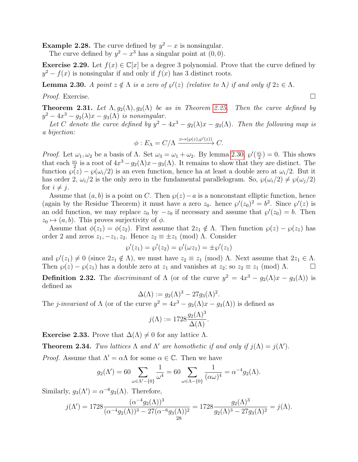**Example 2.28.** The curve defined by  $y^2 - x$  is nonsingular.

The curve defined by  $y^2 - x^3$  has a singular point at  $(0, 0)$ .

**Exercise 2.29.** Let  $f(x) \in \mathbb{C}[x]$  be a degree 3 polynomial. Prove that the curve defined by  $y^2 - f(x)$  is nonsingular if and only if  $f(x)$  has 3 distinct roots.

<span id="page-27-0"></span>**Lemma 2.30.** A point  $z \notin \Lambda$  is a zero of  $\wp'(z)$  (relative to  $\Lambda$ ) if and only if  $2z \in \Lambda$ .

Proof. Exercise. □

<span id="page-27-3"></span>**Theorem 2.31.** Let  $\Lambda$ ,  $g_2(\Lambda)$ ,  $g_3(\Lambda)$  be as in Theorem [2.25.](#page-26-0) Then the curve defined by  $y^2 - 4x^3 - g_2(\lambda)x - g_3(\Lambda)$  is nonsingular.

Let C denote the curve defined by  $y^2 - 4x^3 - g_2(\lambda)x - g_3(\Lambda)$ . Then the following map is a bijection:

$$
\phi: E_{\Lambda} = C/\Lambda \xrightarrow{z \mapsto (\wp(z), \wp'(z))} C.
$$

*Proof.* Let  $\omega_1, \omega_2$  be a basis of  $\Lambda$ . Set  $\omega_3 = \omega_1 + \omega_2$ . By lemma [2.30,](#page-27-0)  $\wp'(\frac{\omega_1}{2})$  $\frac{\omega_i}{2}$ ) = 0. This shows that each  $\frac{\omega_i}{2}$  is a root of  $4x^3 - g_2(\Lambda)x - g_3(\Lambda)$ . It remains to show that they are distinct. The function  $\varphi(z) - \varphi(\omega_i/2)$  is an even function, hence ha at least a double zero at  $\omega_i/2$ . But it has order 2,  $\omega_i/2$  is the only zero in the fundamental parallelogram. So,  $\wp(\omega_i/2) \neq \wp(\omega_i/2)$ for  $i \neq j$ .

Assume that  $(a, b)$  is a point on C. Then  $\wp(z) - a$  is a nonconstant elliptic function, hence (again by the Residue Theorem) it must have a zero  $z_0$ . hence  $\wp'(z_0)^2 = b^2$ . Since  $\wp'(z)$  is an odd function, we may replace  $z_0$  by  $-z_0$  if necessary and assume that  $\wp'(z_0) = b$ . Then  $z_0 \mapsto (a, b)$ . This proves surjectivity of  $\phi$ .

Assume that  $\phi(z_1) = \phi(z_2)$ . First assume that  $2z_1 \notin \Lambda$ . Then function  $\wp(z) - \wp(z_1)$  has order 2 and zeros  $z_1, -z_1, z_2$ . Hence  $z_2 \equiv \pm z_1 \pmod{\Lambda}$ . Consider

$$
\wp'(z_1) = \wp'(z_2) = \wp'(\omega z_1) = \pm \wp'(z_1)
$$

and  $\wp'(z_1) \neq 0$  (since  $2z_1 \notin \Lambda$ ), we must have  $z_2 \equiv z_1 \pmod{\Lambda}$ . Next assume that  $2z_1 \in \Lambda$ . Then  $\wp(z) - \wp(z_1)$  has a double zero at  $z_1$  and vanishes at  $z_2$ ; so  $z_2 \equiv z_1 \pmod{\Lambda}$ .

**Definition 2.32.** The *discriminant* of  $\Lambda$  (or of the curve  $y^2 = 4x^3 - g_2(\Lambda)x - g_3(\Lambda)$ ) is defined as

 $\Delta(\Lambda) := g_2(\Lambda)^3 - 27g_3(\Lambda)^2.$ 

The *j*-invariant of  $\Lambda$  (or of the curve  $y^2 = 4x^3 - g_2(\Lambda)x - g_3(\Lambda)$ ) is defined as

$$
j(\Lambda) := 1728 \frac{g_2(\Lambda)^3}{\Delta(\Lambda)}.
$$

<span id="page-27-1"></span>**Exercise 2.33.** Prove that  $\Delta(\Lambda) \neq 0$  for any lattice  $\Lambda$ .

<span id="page-27-2"></span>**Theorem 2.34.** Two lattices  $\Lambda$  and  $\Lambda'$  are homothetic if and only if  $j(\Lambda) = j(\Lambda')$ .

*Proof.* Assume that  $\Lambda' = \alpha \Lambda$  for some  $\alpha \in \mathbb{C}$ . Then we have

$$
g_2(\Lambda') = 60 \sum_{\omega \in \Lambda' - \{0\}} \frac{1}{\omega^4} = 60 \sum_{\omega \in \Lambda - \{0\}} \frac{1}{(\alpha \omega)^4} = \alpha^{-4} g_2(\Lambda).
$$

Similarly,  $g_3(\Lambda') = \alpha^{-6} g_3(\Lambda)$ . Therefore,

$$
j(\Lambda') = 1728 \frac{(\alpha^{-4} g_2(\Lambda))^3}{(\alpha^{-4} g_2(\Lambda))^3 - 27(\alpha^{-6} g_3(\Lambda))^2} = 1728 \frac{g_2(\Lambda)^3}{g_2(\Lambda)^3 - 27g_3(\Lambda)^2} = j(\Lambda).
$$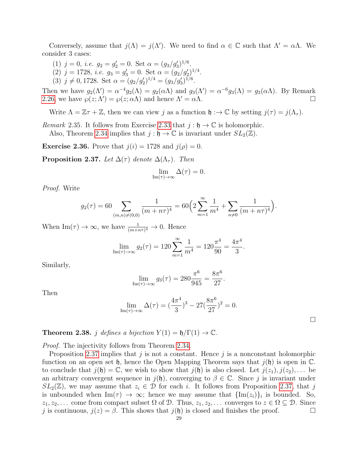Conversely, assume that  $j(\Lambda) = j(\Lambda')$ . We need to find  $\alpha \in \mathbb{C}$  such that  $\Lambda' = \alpha \Lambda$ . We consider 3 cases:

- (1)  $j = 0$ , *i.e.*  $g_2 = g'_2 = 0$ . Set  $\alpha = (g_3/g'_3)^{1/6}$ .
- (2)  $j = 1728$ , *i.e.*  $g_3 = g'_3 = 0$ . Set  $\alpha = (g_2/g'_2)^{1/4}$ .
- (3)  $j \neq 0, 1728$ . Set  $\alpha = (g_2/g_2')^{1/4} = (g_3/g_3')^{1/6}$ .

Then we have  $g_2(\Lambda') = \alpha^{-4} g_2(\Lambda) = g_2(\alpha \Lambda)$  and  $g_3(\Lambda') = \alpha^{-6} g_3(\Lambda) = g_3(\alpha \Lambda)$ . By Remark [2.26,](#page-26-1) we have  $\wp(z; \Lambda') = \wp(z; \alpha \Lambda)$  and hence  $\Lambda' = \alpha \Lambda$ .

Write  $\Lambda = \mathbb{Z}\tau + \mathbb{Z}$ , then we can view j as a function  $\mathfrak{h} : \to \mathbb{C}$  by setting  $j(\tau) = j(\Lambda_{\tau})$ .

Remark 2.35. It follows from Exercise [2.33](#page-27-1) that  $j : \mathfrak{h} \to \mathbb{C}$  is holomorphic.

Also, Theorem [2.34](#page-27-2) implies that  $j : \mathfrak{h} \to \mathbb{C}$  is invariant under  $SL_2(\mathbb{Z})$ .

**Exercise 2.36.** Prove that  $j(i) = 1728$  and  $j(\rho) = 0$ .

<span id="page-28-0"></span>**Proposition 2.37.** Let  $\Delta(\tau)$  denote  $\Delta(\Lambda_{\tau})$ . Then

$$
\lim_{\mathrm{Im}(\tau)\to\infty}\Delta(\tau)=0.
$$

Proof. Write

$$
g_2(\tau) = 60 \sum_{(m,n)\neq(0,0)} \frac{1}{(m+n\tau)^4} = 60 \left( 2 \sum_{m=1}^{\infty} \frac{1}{m^4} + \sum_{n\neq 0} \frac{1}{(m+n\tau)^4} \right).
$$

When  $\text{Im}(\tau) \to \infty$ , we have  $\frac{1}{(m+n\tau)^4} \to 0$ . Hence

$$
\lim_{\text{Im}(\tau)\to\infty} g_2(\tau) = 120 \sum_{m=1}^{\infty} \frac{1}{m^4} = 120 \frac{\pi^4}{90} = \frac{4\pi^4}{3}.
$$

Similarly,

$$
\lim_{\text{Im}(\tau)\to\infty} g_3(\tau) = 280 \frac{\pi^6}{945} = \frac{8\pi^6}{27}.
$$

Then

$$
\lim_{\text{Im}(\tau)\to\infty} \Delta(\tau) = \left(\frac{4\pi^4}{3}\right)^3 - 27\left(\frac{8\pi^6}{27}\right)^2 = 0.
$$

 $\Box$ 

<span id="page-28-1"></span>**Theorem 2.38.** j defines a bijection  $Y(1) = \mathfrak{h}/\Gamma(1) \rightarrow \mathbb{C}$ .

Proof. The injectivity follows from Theorem [2.34.](#page-27-2)

Proposition [2.37](#page-28-0) implies that j is not a constant. Hence j is a nonconstant holomorphic function on an open set h, hence the Open Mapping Theorem says that  $j(\mathfrak{h})$  is open in  $\mathbb C$ . to conclude that  $j(\mathfrak{h}) = \mathbb{C}$ , we wish to show that  $j(\mathfrak{h})$  is also closed. Let  $j(z_1), j(z_2), \ldots$  be an arbitrary convergent sequence in  $j(\mathfrak{h})$ , converging to  $\beta \in \mathbb{C}$ . Since j is invariant under  $SL_2(\mathbb{Z})$ , we may assume that  $z_i \in \mathcal{D}$  for each i. It follows from Proposition [2.37,](#page-28-0) that j is unbounded when  $\text{Im}(\tau) \to \infty$ ; hence we may assume that  $\{\text{Im}(z_i)\}_i$  is bounded. So,  $z_1, z_2, \ldots$  come from compact subset  $\Omega$  of  $\mathcal{D}$ . Thus,  $z_1, z_2, \ldots$  converges to  $z \in \Omega \subseteq \mathcal{D}$ . Since j is continuous,  $j(z) = \beta$ . This shows that  $j(\mathfrak{h})$  is closed and finishes the proof.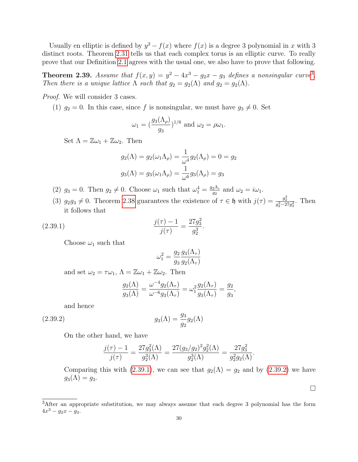Usually en elliptic is defined by  $y^2 - f(x)$  where  $f(x)$  is a degree 3 polynomial in x with 3 distinct roots. Theorem [2.31](#page-27-3) tells us that each complex torus is an elliptic curve. To really prove that our Definition [2.1](#page-21-1) agrees with the usual one, we also have to prove that following.

**Theorem 2.[3](#page-29-0)9.** Assume that  $f(x,y) = y^2 - 4x^3 - g_2x - g_3$  defines a nonsingular curve<sup>3</sup>. Then there is a unique lattice  $\Lambda$  such that  $g_2 = g_2(\Lambda)$  and  $g_2 = g_2(\Lambda)$ .

Proof. We will consider 3 cases.

(1)  $g_2 = 0$ . In this case, since f is nonsingular, we must have  $g_3 \neq 0$ . Set

$$
\omega_1 = \left(\frac{g_3(\Lambda_\rho)}{g_3}\right)^{1/6} \text{ and } \omega_2 = \rho \omega_1.
$$

Set  $\Lambda = \mathbb{Z}\omega_1 + \mathbb{Z}\omega_2$ . Then

$$
g_2(\Lambda) = g_2(\omega_1 \Lambda_\rho) = \frac{1}{\omega^4} g_2(\Lambda_\rho) = 0 = g_2
$$
  

$$
g_3(\Lambda) = g_3(\omega_1 \Lambda_\rho) = \frac{1}{\omega^6} g_3(\Lambda_\rho) = g_3
$$

- (2)  $g_3 = 0$ . Then  $g_2 \neq 0$ . Choose  $\omega_1$  such that  $\omega_1^4 = \frac{g_2 \Lambda_i}{g_2}$  $\frac{2\Lambda_i}{g_2}$  and  $\omega_2 = i\omega_1$ .
- (3)  $g_2g_3 \neq 0$ . Theorem [2.38](#page-28-1) guarantees the existence of  $\tau \in \mathfrak{h}$  with  $j(\tau) = \frac{g_2^3}{g_2^3 27g_3^2}$ . Then it follows that

(2.39.1) 
$$
\frac{j(\tau) - 1}{j(\tau)} = \frac{27g_3^2}{g_2^3}.
$$

Choose  $\omega_1$  such that

<span id="page-29-1"></span>
$$
\omega_1^2 = \frac{g_2}{g_3} \frac{g_3(\Lambda_\tau)}{g_2(\Lambda_\tau)}
$$

and set  $\omega_2 = \tau \omega_1$ ,  $\Lambda = \mathbb{Z} \omega_1 + \mathbb{Z} \omega_2$ . Then

<span id="page-29-2"></span>
$$
\frac{g_2(\Lambda)}{g_3(\Lambda)} = \frac{\omega^{-4} g_2(\Lambda_\tau)}{\omega^{-6} g_3(\Lambda_\tau)} = \omega_1^2 \frac{g_2(\Lambda_\tau)}{g_3(\Lambda_\tau)} = \frac{g_2}{g_3},
$$

and hence

(2.39.2) 
$$
g_3(\Lambda) = \frac{g_3}{g_2} g_2(\Lambda)
$$

On the other hand, we have

$$
\frac{j(\tau) - 1}{j(\tau)} = \frac{27g_3^2(\Lambda)}{g_2^3(\Lambda)} = \frac{27(g_3/g_2)^2 g_2^2(\Lambda)}{g_2^3(\Lambda)} = \frac{27g_3^2}{g_2^2 g_2(\Lambda)}.
$$

Comparing this with [\(2.39.1\)](#page-29-1), we can see that  $g_2(\Lambda) = g_2$  and by [\(2.39.2\)](#page-29-2) we have  $g_3(\Lambda) = g_3.$ 

 $\Box$ 

<span id="page-29-0"></span><sup>&</sup>lt;sup>3</sup>After an appropriate substitution, we may always assume that each degree 3 polynomial has the form  $4x^3 - g_2x - g_3.$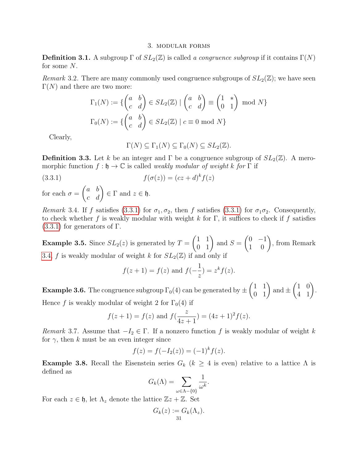#### 3. modular forms

**Definition 3.1.** A subgroup  $\Gamma$  of  $SL_2(\mathbb{Z})$  is called a congruence subgroup if it contains  $\Gamma(N)$ for some N.

Remark 3.2. There are many commonly used congruence subgroups of  $SL_2(\mathbb{Z})$ ; we have seen  $\Gamma(N)$  and there are two more:

$$
\Gamma_1(N) := \{ \begin{pmatrix} a & b \\ c & d \end{pmatrix} \in SL_2(\mathbb{Z}) \mid \begin{pmatrix} a & b \\ c & d \end{pmatrix} \equiv \begin{pmatrix} 1 & * \\ 0 & 1 \end{pmatrix} \mod N \}
$$

$$
\Gamma_0(N) := \{ \begin{pmatrix} a & b \\ c & d \end{pmatrix} \in SL_2(\mathbb{Z}) \mid c \equiv 0 \mod N \}
$$

Clearly,

<span id="page-30-0"></span>
$$
\Gamma(N) \subseteq \Gamma_1(N) \subseteq \Gamma_0(N) \subseteq SL_2(\mathbb{Z}).
$$

**Definition 3.3.** Let k be an integer and  $\Gamma$  be a congruence subgroup of  $SL_2(\mathbb{Z})$ . A meromorphic function  $f : \mathfrak{h} \to \mathbb{C}$  is called *weakly modular of weight k for*  $\Gamma$  if

$$
(3.3.1) \t\t f(\sigma(z)) = (cz+d)^k f(z)
$$

for each  $\sigma =$  $\begin{pmatrix} a & b \\ c & d \end{pmatrix} \in \Gamma$  and  $z \in \mathfrak{h}$ .

<span id="page-30-1"></span>Remark 3.4. If f satisfies [\(3.3.1\)](#page-30-0) for  $\sigma_1, \sigma_2$ , then f satisfies (3.3.1) for  $\sigma_1 \sigma_2$ . Consequently, to check whether f is weakly modular with weight k for  $\Gamma$ , it suffices to check if f satisfies  $(3.3.1)$  for generators of Γ.

**Example 3.5.** Since  $SL_2(z)$  is generated by  $T =$  $\begin{pmatrix} 1 & 1 \\ 0 & 1 \end{pmatrix}$  and  $S =$  $\begin{pmatrix} 0 & -1 \\ 1 & 0 \end{pmatrix}$ , from Remark [3.4,](#page-30-1) f is weakly modular of weight k for  $SL_2(\mathbb{Z})$  if and only if

$$
f(z + 1) = f(z)
$$
 and  $f(-\frac{1}{z}) = z^k f(z)$ .

**Example 3.6.** The congruence subgroup  $\Gamma_0(4)$  can be generated by  $\pm$  $\begin{pmatrix} 1 & 1 \\ 0 & 1 \end{pmatrix}$  and  $\pm$  $\begin{pmatrix} 1 & 0 \\ 4 & 1 \end{pmatrix}$ . Hence f is weakly modular of weight 2 for  $\Gamma_0(4)$  if

$$
f(z + 1) = f(z)
$$
 and  $f(\frac{z}{4z + 1}) = (4z + 1)^2 f(z)$ .

Remark 3.7. Assume that  $-I_2 \in \Gamma$ . If a nonzero function f is weakly modular of weight k for  $\gamma$ , then k must be an even integer since

$$
f(z) = f(-I_2(z)) = (-1)^k f(z).
$$

<span id="page-30-2"></span>**Example 3.8.** Recall the Eisenstein series  $G_k$  ( $k \geq 4$  is even) relative to a lattice  $\Lambda$  is defined as

$$
G_k(\Lambda) = \sum_{\omega \in \Lambda - \{0\}} \frac{1}{\omega^k}.
$$

For each  $z \in \mathfrak{h}$ , let  $\Lambda_z$  denote the lattice  $\mathbb{Z}z + \mathbb{Z}$ . Set

$$
G_k(z) := G_k(\Lambda_z).
$$
  
31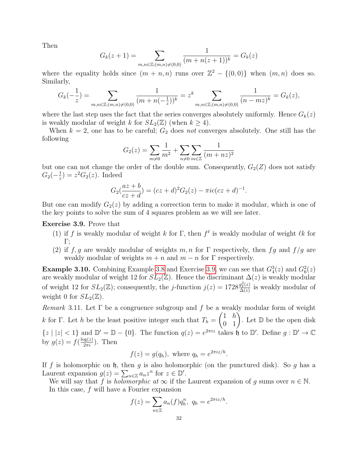Then

$$
G_k(z+1) = \sum_{m,n \in \mathbb{Z}; (m,n) \neq (0,0)} \frac{1}{(m+n(z+1))^k} = G_k(z)
$$

where the equality holds since  $(m + n, n)$  runs over  $\mathbb{Z}^2 - \{(0,0)\}\$  when  $(m, n)$  does so. Similarly,

$$
G_k(-\frac{1}{z}) = \sum_{m,n \in \mathbb{Z}; (m,n) \neq (0,0)} \frac{1}{(m+n(-\frac{1}{z}))^k} = z^k \sum_{m,n \in \mathbb{Z}; (m,n) \neq (0,0)} \frac{1}{(n-mz)^k} = G_k(z),
$$

where the last step uses the fact that the series converges absolutely uniformly. Hence  $G_k(z)$ is weakly modular of weight k for  $SL_2(\mathbb{Z})$  (when  $k \geq 4$ ).

When  $k = 2$ , one has to be careful;  $G_2$  does not converges absolutely. One still has the following

$$
G_2(z) = \sum_{m \neq 0} \frac{1}{m^2} + \sum_{n \neq 0} \sum_{m \in \mathbb{Z}} \frac{1}{(m + nz)^2}
$$

but one can not change the order of the double sum. Consequently,  $G_2(Z)$  does not satisfy  $G_2(-\frac{1}{z})$  $(\frac{1}{z}) = z^2 G_2(z)$ . Indeed

$$
G_2(\frac{az+b}{cz+d}) = (cz+d)^2 G_2(z) - \pi i c (cz+d)^{-1}.
$$

But one can modify  $G_2(z)$  by adding a correction term to make it modular, which is one of the key points to solve the sum of 4 squares problem as we will see later.

<span id="page-31-0"></span>Exercise 3.9. Prove that

- (1) if f is weakly modular of weight k for  $\Gamma$ , then  $f^{\ell}$  is weakly modular of weight  $\ell k$  for Γ;
- (2) if f, g are weakly modular of weights  $m, n$  for  $\Gamma$  respectively, then fg and  $f/g$  are weakly modular of weights  $m + n$  and  $m - n$  for  $\Gamma$  respectively.

**Example 3.10.** Combining Example [3.8](#page-30-2) and Exercise [3.9,](#page-31-0) we can see that  $G_4^3(z)$  and  $G_6^2(z)$ are weakly modular of weight 12 for  $SL_2(\mathbb{Z})$ . Hence the discriminant  $\Delta(z)$  is weakly modular of weight 12 for  $SL_2(\mathbb{Z})$ ; consequently, the *j*-function  $j(z) = 1728 \frac{g_2^3(z)}{\Delta(z)}$  $\frac{g_2(z)}{\Delta(z)}$  is weakly modular of weight 0 for  $SL_2(\mathbb{Z})$ .

Remark 3.11. Let  $\Gamma$  be a congruence subgroup and f be a weakly modular form of weight k for Γ. Let h be the least positive integer such that  $T_h =$  $\begin{pmatrix} 1 & h \\ 0 & 1 \end{pmatrix}$ . Let  $\mathbb D$  be the open disk  $\{z \mid |z| < 1\}$  and  $\mathbb{D}' = \mathbb{D} - \{0\}$ . The function  $q(z) = e^{2\pi i z}$  takes  $\mathfrak{h}$  to  $\mathbb{D}'$ . Define  $g : \mathbb{D}' \to \mathbb{C}$ by  $g(z) = f(\frac{\log(z)}{2\pi i})$ . Then

$$
f(z) = g(q_h), \text{ where } q_h = e^{2\pi i z/h}.
$$

If f is holomorphic on  $\mathfrak h$ , then g is also holomorphic (on the punctured disk). So g has a Laurent expansion  $g(z) = \sum_{n \in \mathbb{Z}} a_n z^n$  for  $z \in \mathbb{D}'$ .

We will say that f is *holomorphic at*  $\infty$  if the Laurent expansion of g sums over  $n \in \mathbb{N}$ . In this case, f will have a Fourier expansion

$$
f(z) = \sum_{n \in \mathbb{Z}} a_n(f) q_h^n, \ q_h = e^{2\pi i z/h}.
$$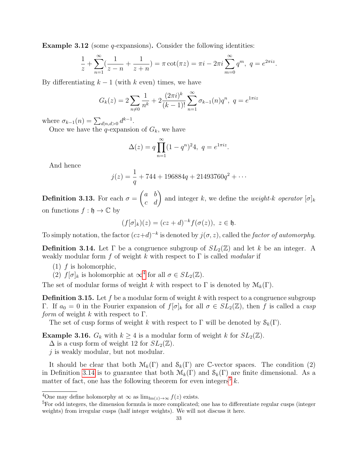**Example 3.12** (some *q*-expansions). Consider the following identities:

$$
\frac{1}{z} + \sum_{n=1}^{\infty} \left( \frac{1}{z - n} + \frac{1}{z + n} \right) = \pi \cot(\pi z) = \pi i - 2\pi i \sum_{m=0}^{\infty} q^m, \ q = e^{2\pi i z}.
$$

By differentiating  $k-1$  (with k even) times, we have

$$
G_k(z) = 2\sum_{n \neq 0} \frac{1}{n^k} + 2\frac{(2\pi i)^k}{(k-1)!} \sum_{n=1}^{\infty} \sigma_{k-1}(n) q^n, \ q = e^{i\pi i z}
$$

where  $\sigma_{k-1}(n) = \sum_{d|n,d>0} d^{k-1}$ .

Once we have the q-expansion of  $G_k$ , we have

$$
\Delta(z) = q \prod_{n=1}^{\infty} (1 - q^n)^2 4, \ q = e^{1\pi i z}.
$$

And hence

$$
j(z) = \frac{1}{q} + 744 + 196884q + 21493760q^{2} + \cdots
$$

Definition 3.13. For each  $\sigma =$  $\begin{pmatrix} a & b \\ c & d \end{pmatrix}$  and integer k, we define the *weight-k operator*  $[\sigma]_k$ on functions  $f : \mathfrak{h} \to \mathbb{C}$  by

$$
(f[\sigma]_k)(z) = (cz+d)^{-k} f(\sigma(z)), \ z \in \mathfrak{h}.
$$

To simply notation, the factor  $(cz+d)^{-k}$  is denoted by  $j(\sigma, z)$ , called the factor of automorphy.

<span id="page-32-1"></span>**Definition 3.14.** Let  $\Gamma$  be a congruence subgroup of  $SL_2(\mathbb{Z})$  and let k be an integer. A weakly modular form f of weight k with respect to  $\Gamma$  is called modular if

- $(1)$  f is holomorphic,
- (2)  $f[\sigma]_k$  is holomorphic at  $\infty^4$  $\infty^4$  for all  $\sigma \in SL_2(\mathbb{Z})$ .

The set of modular forms of weight k with respect to  $\Gamma$  is denoted by  $\mathcal{M}_k(\Gamma)$ .

**Definition 3.15.** Let f be a modular form of weight k with respect to a congruence subgroup Γ. If  $a_0 = 0$  in the Fourier expansion of  $f[\sigma]_k$  for all  $\sigma \in SL_2(\mathbb{Z})$ , then f is called a cusp *form* of weight k with respect to  $\Gamma$ .

The set of cusp forms of weight k with respect to  $\Gamma$  will be denoted by  $\mathcal{S}_k(\Gamma)$ .

**Example 3.16.**  $G_k$  with  $k \geq 4$  is a modular form of weight k for  $SL_2(\mathbb{Z})$ .

 $\Delta$  is a cusp form of weight 12 for  $SL_2(\mathbb{Z})$ .

j is weakly modular, but not modular.

It should be clear that both  $\mathcal{M}_k(\Gamma)$  and  $\mathcal{S}_k(\Gamma)$  are C-vector spaces. The condition (2) in Definition [3.14](#page-32-1) is to guarantee that both  $\mathcal{M}_k(\Gamma)$  and  $\mathcal{S}_k(\Gamma)$  are finite dimensional. As a matter of fact, one has the following theorem for even integers<sup>[5](#page-32-2)</sup>  $k$ .

<span id="page-32-0"></span> $\overline{^{4}$ One may define holomorphy at  $\infty$  as  $\lim_{\text{Im}(z) \to \infty} f(z)$  exists.

<span id="page-32-2"></span><sup>&</sup>lt;sup>5</sup>For odd integers, the dimension formula is more complicated; one has to differentiate regular cusps (integer weights) from irregular cusps (half integer weights). We will not discuss it here.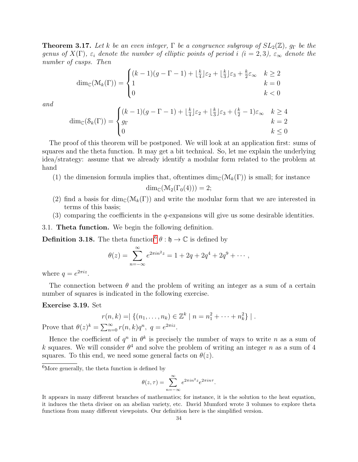**Theorem 3.17.** Let k be an even integer,  $\Gamma$  be a congruence subgroup of  $SL_2(\mathbb{Z})$ ,  $q_{\Gamma}$  be the genus of  $X(\Gamma)$ ,  $\varepsilon_i$  denote the number of elliptic points of period i (i = 2,3),  $\varepsilon_{\infty}$  denote the number of cusps. Then

$$
\dim_{\mathbb{C}}(\mathcal{M}_k(\Gamma)) = \begin{cases} (k-1)(g-\Gamma-1) + \lfloor \frac{k}{4} \rfloor \varepsilon_2 + \lfloor \frac{k}{3} \rfloor \varepsilon_3 + \frac{k}{2} \varepsilon_\infty & k \ge 2\\ 1 & k = 0\\ 0 & k < 0 \end{cases}
$$

and

$$
\dim_{\mathbb{C}}(\mathcal{S}_k(\Gamma)) = \begin{cases} (k-1)(g-\Gamma-1) + \lfloor \frac{k}{4} \rfloor \varepsilon_2 + \lfloor \frac{k}{3} \rfloor \varepsilon_3 + (\frac{k}{2}-1)\varepsilon_\infty & k \ge 4\\ g_\Gamma & k=2\\ 0 & k \le 0 \end{cases}
$$

The proof of this theorem will be postponed. We will look at an application first: sums of squares and the theta function. It may get a bit technical. So, let me explain the underlying idea/strategy: assume that we already identify a modular form related to the problem at hand

(1) the dimension formula implies that, oftentimes  $\dim_{\mathbb{C}}(\mathcal{M}_k(\Gamma))$  is small; for instance

$$
\dim_{\mathbb{C}}(\mathcal{M}_2(\Gamma_0(4))) = 2;
$$

- (2) find a basis for dim<sub>C</sub>( $\mathcal{M}_k(\Gamma)$ ) and write the modular form that we are interested in terms of this basis;
- (3) comparing the coefficients in the q-expansions will give us some desirable identities.

3.1. Theta function. We begin the following definition.

**Definition 3.18.** The theta function<sup>[6](#page-33-0)</sup>  $\theta$  :  $\mathfrak{h} \to \mathbb{C}$  is defined by

$$
\theta(z) = \sum_{n=-\infty}^{\infty} e^{2\pi i n^2 z} = 1 + 2q + 2q^4 + 2q^9 + \cdots,
$$

where  $q = e^{2\pi i z}$ .

The connection between  $\theta$  and the problem of writing an integer as a sum of a certain number of squares is indicated in the following exercise.

#### Exercise 3.19. Set

$$
r(n,k) = \vert \{ (n_1, \ldots, n_k) \in \mathbb{Z}^k \mid n = n_1^2 + \cdots + n_k^2 \} \vert.
$$
  
Prove that  $\theta(z)^k = \sum_{n=0}^{\infty} r(n,k)q^n, \ q = e^{2\pi i z}.$ 

Hence the coefficient of  $q^n$  in  $\theta^k$  is precisely the number of ways to write n as a sum of k squares. We will consider  $\theta^4$  and solve the problem of writing an integer n as a sum of 4 squares. To this end, we need some general facts on  $\theta(z)$ .

<span id="page-33-0"></span> ${}^{6}$ More generally, the theta function is defined by

$$
\theta(z,\tau) = \sum_{n=-\infty}^{\infty} e^{2\pi i n^2 z} e^{2\pi i n \tau}.
$$

It appears in many different branches of mathematics; for instance, it is the solution to the heat equation, it induces the theta divisor on an abelian variety, etc. David Mumford wrote 3 volumes to explore theta functions from many different viewpoints. Our definition here is the simplified version.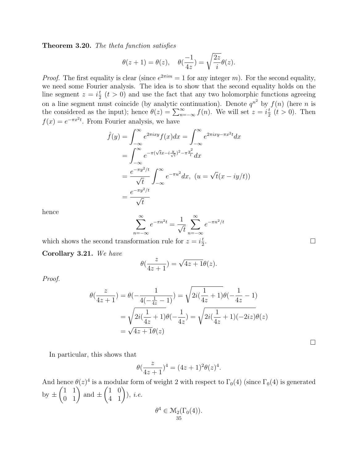Theorem 3.20. The theta function satisfies

$$
\theta(z+1) = \theta(z), \quad \theta(\frac{-1}{4z}) = \sqrt{\frac{2z}{i}}\theta(z).
$$

*Proof.* The first equality is clear (since  $e^{2\pi im} = 1$  for any integer m). For the second equality, we need some Fourier analysis. The idea is to show that the second equality holds on the line segment  $z = i\frac{t}{2}$   $(t > 0)$  and use the fact that any two holomorphic functions agreeing 2 on a line segment must coincide (by analytic continuation). Denote  $q^{n^2}$  by  $f(n)$  (here n is the considered as the input); hence  $\theta(z) = \sum_{n=-\infty}^{\infty} f(n)$ . We will set  $z = i\frac{t}{2}$  $\frac{t}{2}$   $(t > 0)$ . Then  $f(x) = e^{-\pi x^2 t}$ . From Fourier analysis, we have

$$
\hat{f}(y) = \int_{-\infty}^{\infty} e^{2\pi ixy} f(x) dx = \int_{-\infty}^{\infty} e^{2\pi ixy - \pi x^2 t} dx
$$

$$
= \int_{-\infty}^{\infty} e^{-\pi (\sqrt{t}x - i\frac{y}{\sqrt{t}})^2 - \pi \frac{y^2}{t}} dx
$$

$$
= \frac{e^{-\pi y^2/t}}{\sqrt{t}} \int_{-\infty}^{\infty} e^{-\pi u^2} dx, \ (u = \sqrt{t}(x - iy/t))
$$

$$
= \frac{e^{-\pi y^2/t}}{\sqrt{t}}
$$

hence

$$
\sum_{n=-\infty}^{\infty} e^{-\pi n^2 t} = \frac{1}{\sqrt{t}} \sum_{n=-\infty}^{\infty} e^{-\pi n^2/t}
$$

which shows the second transformation rule for  $z = i\frac{t}{2}$ 2

Corollary 3.21. We have

$$
\theta(\frac{z}{4z+1}) = \sqrt{4z+1}\theta(z).
$$

Proof.

$$
\theta(\frac{z}{4z+1}) = \theta(-\frac{1}{4(-\frac{1}{4z}-1)}) = \sqrt{2i(\frac{1}{4z}+1)}\theta(-\frac{1}{4z}-1)
$$

$$
= \sqrt{2i(\frac{1}{4z}+1)}\theta(-\frac{1}{4z}) = \sqrt{2i(\frac{1}{4z}+1)(-2iz)}\theta(z)
$$

$$
= \sqrt{4z+1}\theta(z)
$$

 $\Box$ 

In particular, this shows that

$$
\theta(\frac{z}{4z+1})^4 = (4z+1)^2 \theta(z)^4.
$$

And hence  $\theta(z)^4$  is a modular form of weight 2 with respect to  $\Gamma_0(4)$  (since  $\Gamma_0(4)$  is generated by  $\pm$  $\begin{pmatrix} 1 & 1 \\ 0 & 1 \end{pmatrix}$  and  $\pm$  $\begin{pmatrix} 1 & 0 \\ 4 & 1 \end{pmatrix}$ ), *i.e.*  $\theta^4 \in \mathcal{M}_2(\Gamma_0(4)).$ 35

.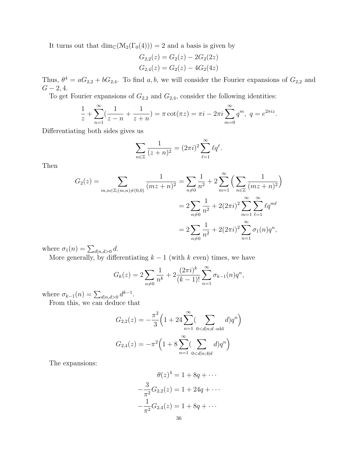It turns out that  $\dim_{\mathbb{C}}(\mathcal{M}_2(\Gamma_0(4))) = 2$  and a basis is given by

$$
G_{2,2}(z) = G_2(z) - 2G_2(2z)
$$
  

$$
G_{2,4}(z) = G_2(z) - 4G_2(4z)
$$

Thus,  $\theta^4 = aG_{2,2} + bG_{2,4}$ . To find a, b, we will consider the Fourier expansions of  $G_{2,2}$  and  $G - 2, 4.$ 

To get Fourier expansions of  $G_{2,2}$  and  $G_{2,4}$ , consider the following identities:

$$
\frac{1}{z} + \sum_{n=1}^{\infty} \left( \frac{1}{z - n} + \frac{1}{z + n} \right) = \pi \cot(\pi z) = \pi i - 2\pi i \sum_{m=0}^{\infty} q^m, \ q = e^{2\pi i z}.
$$

Differentiating both sides gives us

$$
\sum_{n\in\mathbb{Z}}\frac{1}{(z+n)^2}=(2\pi i)^2\sum_{\ell=1}^\infty\ell q^\ell.
$$

Then

$$
G_2(z) = \sum_{m,n \in \mathbb{Z}; (m,n) \neq (0,0)} \frac{1}{(mz+n)^2} = \sum_{n \neq 0} \frac{1}{n^2} + 2 \sum_{m=1}^{\infty} \left( \sum_{n \in \mathbb{Z}} \frac{1}{(mz+n)^2} \right)
$$
  
= 
$$
2 \sum_{n \neq 0} \frac{1}{n^2} + 2(2\pi i)^2 \sum_{m=1}^{\infty} \sum_{\ell=1}^{\infty} \ell q^{m\ell}
$$
  
= 
$$
2 \sum_{n \neq 0} \frac{1}{n^2} + 2(2\pi i)^2 \sum_{n=1}^{\infty} \sigma_1(n) q^n,
$$

where  $\sigma_1(n) = \sum_{d|n,d>0} d$ .

More generally, by differentiating  $k-1$  (with k even) times, we have

$$
G_k(z) = 2\sum_{n \neq 0} \frac{1}{n^k} + 2\frac{(2\pi i)^k}{(k-1)!} \sum_{n=1}^{\infty} \sigma_{k-1}(n) q^n,
$$

where  $\sigma_{k-1}(n) = \sum_{d|n,d>0} d^{k-1}$ .

From this, we can deduce that

$$
G_{2,2}(z) = -\frac{\pi^2}{3} \left( 1 + 24 \sum_{n=1}^{\infty} \left( \sum_{0 < d|n;d \text{ odd}} d \right) q^n \right)
$$
\n
$$
G_{2,4}(z) = -\pi^2 \left( 1 + 8 \sum_{n=1}^{\infty} \left( \sum_{0 < d|n; 4 \nmid d} d \right) q^n \right)
$$

The expansions:

$$
\theta(z)^4 = 1 + 8q + \cdots
$$

$$
-\frac{3}{\pi^2}G_{2,2}(z) = 1 + 24q + \cdots
$$

$$
-\frac{1}{\pi^2}G_{2,4}(z) = 1 + 8q + \cdots
$$